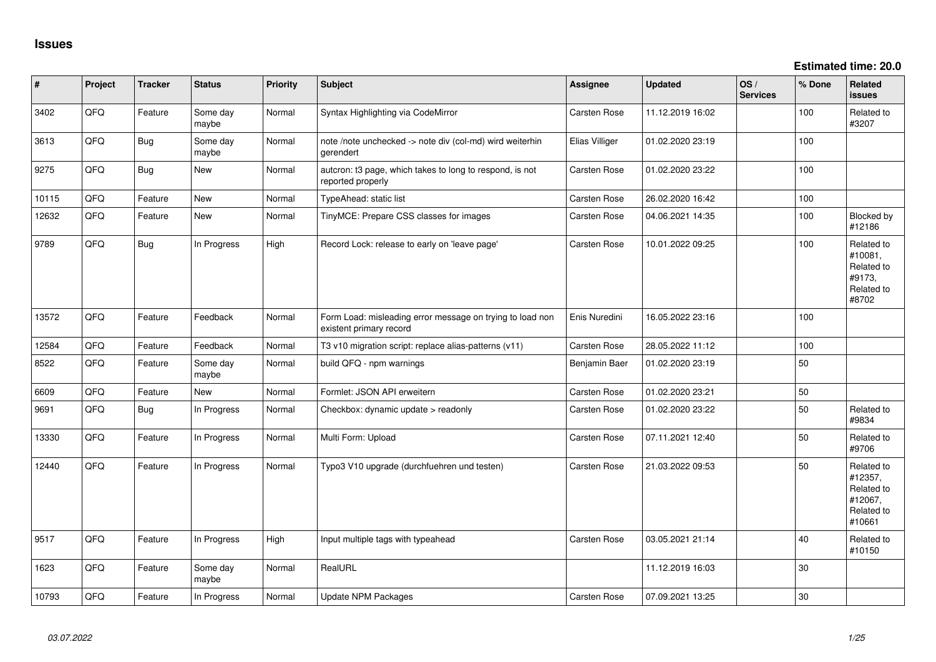| #     | Project | <b>Tracker</b> | <b>Status</b>     | <b>Priority</b> | <b>Subject</b>                                                                       | Assignee            | <b>Updated</b>   | OS/<br><b>Services</b> | % Done | Related<br>issues                                                      |
|-------|---------|----------------|-------------------|-----------------|--------------------------------------------------------------------------------------|---------------------|------------------|------------------------|--------|------------------------------------------------------------------------|
| 3402  | QFQ     | Feature        | Some day<br>maybe | Normal          | Syntax Highlighting via CodeMirror                                                   | Carsten Rose        | 11.12.2019 16:02 |                        | 100    | Related to<br>#3207                                                    |
| 3613  | QFQ     | Bug            | Some day<br>maybe | Normal          | note /note unchecked -> note div (col-md) wird weiterhin<br>gerendert                | Elias Villiger      | 01.02.2020 23:19 |                        | 100    |                                                                        |
| 9275  | QFQ     | Bug            | New               | Normal          | autcron: t3 page, which takes to long to respond, is not<br>reported properly        | Carsten Rose        | 01.02.2020 23:22 |                        | 100    |                                                                        |
| 10115 | QFQ     | Feature        | <b>New</b>        | Normal          | TypeAhead: static list                                                               | Carsten Rose        | 26.02.2020 16:42 |                        | 100    |                                                                        |
| 12632 | QFQ     | Feature        | <b>New</b>        | Normal          | TinyMCE: Prepare CSS classes for images                                              | Carsten Rose        | 04.06.2021 14:35 |                        | 100    | <b>Blocked by</b><br>#12186                                            |
| 9789  | QFQ     | <b>Bug</b>     | In Progress       | High            | Record Lock: release to early on 'leave page'                                        | Carsten Rose        | 10.01.2022 09:25 |                        | 100    | Related to<br>#10081,<br>Related to<br>#9173,<br>Related to<br>#8702   |
| 13572 | QFQ     | Feature        | Feedback          | Normal          | Form Load: misleading error message on trying to load non<br>existent primary record | Enis Nuredini       | 16.05.2022 23:16 |                        | 100    |                                                                        |
| 12584 | QFQ     | Feature        | Feedback          | Normal          | T3 v10 migration script: replace alias-patterns (v11)                                | Carsten Rose        | 28.05.2022 11:12 |                        | 100    |                                                                        |
| 8522  | QFQ     | Feature        | Some day<br>maybe | Normal          | build QFQ - npm warnings                                                             | Benjamin Baer       | 01.02.2020 23:19 |                        | 50     |                                                                        |
| 6609  | QFQ     | Feature        | <b>New</b>        | Normal          | Formlet: JSON API erweitern                                                          | Carsten Rose        | 01.02.2020 23:21 |                        | 50     |                                                                        |
| 9691  | QFQ     | Bug            | In Progress       | Normal          | Checkbox: dynamic update > readonly                                                  | Carsten Rose        | 01.02.2020 23:22 |                        | 50     | Related to<br>#9834                                                    |
| 13330 | QFQ     | Feature        | In Progress       | Normal          | Multi Form: Upload                                                                   | Carsten Rose        | 07.11.2021 12:40 |                        | 50     | Related to<br>#9706                                                    |
| 12440 | QFQ     | Feature        | In Progress       | Normal          | Typo3 V10 upgrade (durchfuehren und testen)                                          | <b>Carsten Rose</b> | 21.03.2022 09:53 |                        | 50     | Related to<br>#12357,<br>Related to<br>#12067,<br>Related to<br>#10661 |
| 9517  | QFQ     | Feature        | In Progress       | High            | Input multiple tags with typeahead                                                   | Carsten Rose        | 03.05.2021 21:14 |                        | 40     | Related to<br>#10150                                                   |
| 1623  | QFQ     | Feature        | Some day<br>maybe | Normal          | RealURL                                                                              |                     | 11.12.2019 16:03 |                        | 30     |                                                                        |
| 10793 | QFQ     | Feature        | In Progress       | Normal          | <b>Update NPM Packages</b>                                                           | <b>Carsten Rose</b> | 07.09.2021 13:25 |                        | 30     |                                                                        |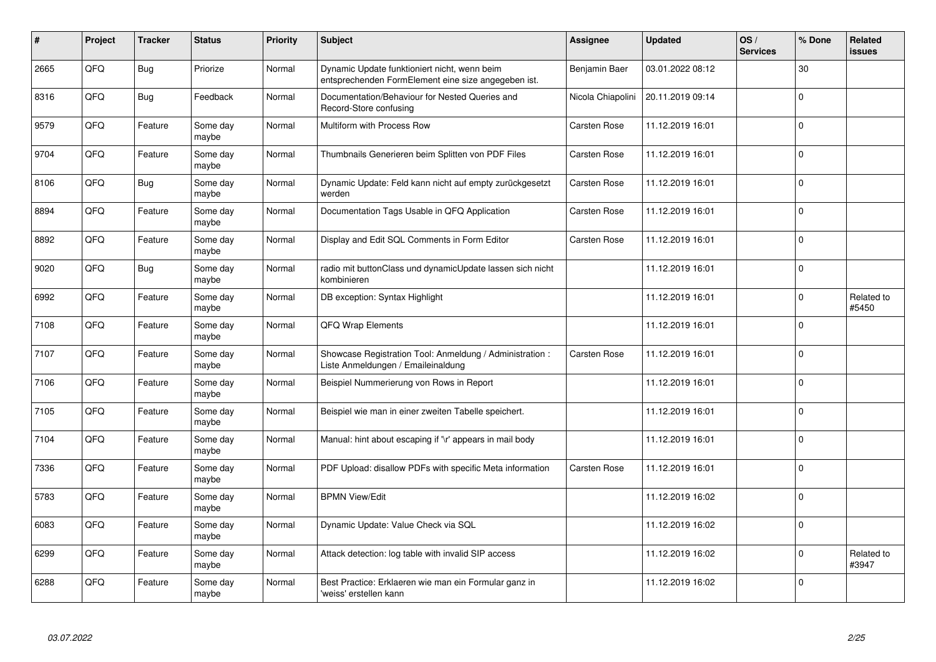| #    | Project | <b>Tracker</b> | <b>Status</b>     | <b>Priority</b> | <b>Subject</b>                                                                                      | <b>Assignee</b>     | <b>Updated</b>   | OS/<br><b>Services</b> | % Done      | Related<br>issues   |
|------|---------|----------------|-------------------|-----------------|-----------------------------------------------------------------------------------------------------|---------------------|------------------|------------------------|-------------|---------------------|
| 2665 | QFQ     | <b>Bug</b>     | Priorize          | Normal          | Dynamic Update funktioniert nicht, wenn beim<br>entsprechenden FormElement eine size angegeben ist. | Benjamin Baer       | 03.01.2022 08:12 |                        | 30          |                     |
| 8316 | QFQ     | <b>Bug</b>     | Feedback          | Normal          | Documentation/Behaviour for Nested Queries and<br>Record-Store confusing                            | Nicola Chiapolini   | 20.11.2019 09:14 |                        | $\mathbf 0$ |                     |
| 9579 | QFQ     | Feature        | Some day<br>maybe | Normal          | Multiform with Process Row                                                                          | <b>Carsten Rose</b> | 11.12.2019 16:01 |                        | $\Omega$    |                     |
| 9704 | QFQ     | Feature        | Some day<br>maybe | Normal          | Thumbnails Generieren beim Splitten von PDF Files                                                   | Carsten Rose        | 11.12.2019 16:01 |                        | $\Omega$    |                     |
| 8106 | QFQ     | <b>Bug</b>     | Some day<br>maybe | Normal          | Dynamic Update: Feld kann nicht auf empty zurückgesetzt<br>werden                                   | Carsten Rose        | 11.12.2019 16:01 |                        | $\mathbf 0$ |                     |
| 8894 | QFQ     | Feature        | Some day<br>maybe | Normal          | Documentation Tags Usable in QFQ Application                                                        | Carsten Rose        | 11.12.2019 16:01 |                        | $\Omega$    |                     |
| 8892 | QFQ     | Feature        | Some day<br>maybe | Normal          | Display and Edit SQL Comments in Form Editor                                                        | Carsten Rose        | 11.12.2019 16:01 |                        | $\Omega$    |                     |
| 9020 | QFQ     | <b>Bug</b>     | Some day<br>maybe | Normal          | radio mit buttonClass und dynamicUpdate lassen sich nicht<br>kombinieren                            |                     | 11.12.2019 16:01 |                        | $\Omega$    |                     |
| 6992 | QFQ     | Feature        | Some day<br>maybe | Normal          | DB exception: Syntax Highlight                                                                      |                     | 11.12.2019 16:01 |                        | $\Omega$    | Related to<br>#5450 |
| 7108 | QFQ     | Feature        | Some day<br>maybe | Normal          | <b>QFQ Wrap Elements</b>                                                                            |                     | 11.12.2019 16:01 |                        | $\Omega$    |                     |
| 7107 | QFQ     | Feature        | Some day<br>maybe | Normal          | Showcase Registration Tool: Anmeldung / Administration :<br>Liste Anmeldungen / Emaileinaldung      | Carsten Rose        | 11.12.2019 16:01 |                        | $\mathbf 0$ |                     |
| 7106 | QFQ     | Feature        | Some day<br>maybe | Normal          | Beispiel Nummerierung von Rows in Report                                                            |                     | 11.12.2019 16:01 |                        | $\mathbf 0$ |                     |
| 7105 | QFQ     | Feature        | Some day<br>maybe | Normal          | Beispiel wie man in einer zweiten Tabelle speichert.                                                |                     | 11.12.2019 16:01 |                        | $\mathbf 0$ |                     |
| 7104 | QFQ     | Feature        | Some day<br>maybe | Normal          | Manual: hint about escaping if '\r' appears in mail body                                            |                     | 11.12.2019 16:01 |                        | $\mathbf 0$ |                     |
| 7336 | QFQ     | Feature        | Some day<br>maybe | Normal          | PDF Upload: disallow PDFs with specific Meta information                                            | Carsten Rose        | 11.12.2019 16:01 |                        | $\Omega$    |                     |
| 5783 | QFQ     | Feature        | Some day<br>maybe | Normal          | <b>BPMN View/Edit</b>                                                                               |                     | 11.12.2019 16:02 |                        | $\Omega$    |                     |
| 6083 | QFQ     | Feature        | Some day<br>maybe | Normal          | Dynamic Update: Value Check via SQL                                                                 |                     | 11.12.2019 16:02 |                        | $\mathbf 0$ |                     |
| 6299 | QFQ     | Feature        | Some day<br>maybe | Normal          | Attack detection: log table with invalid SIP access                                                 |                     | 11.12.2019 16:02 |                        | $\mathbf 0$ | Related to<br>#3947 |
| 6288 | QFQ     | Feature        | Some day<br>maybe | Normal          | Best Practice: Erklaeren wie man ein Formular ganz in<br>'weiss' erstellen kann                     |                     | 11.12.2019 16:02 |                        | $\Omega$    |                     |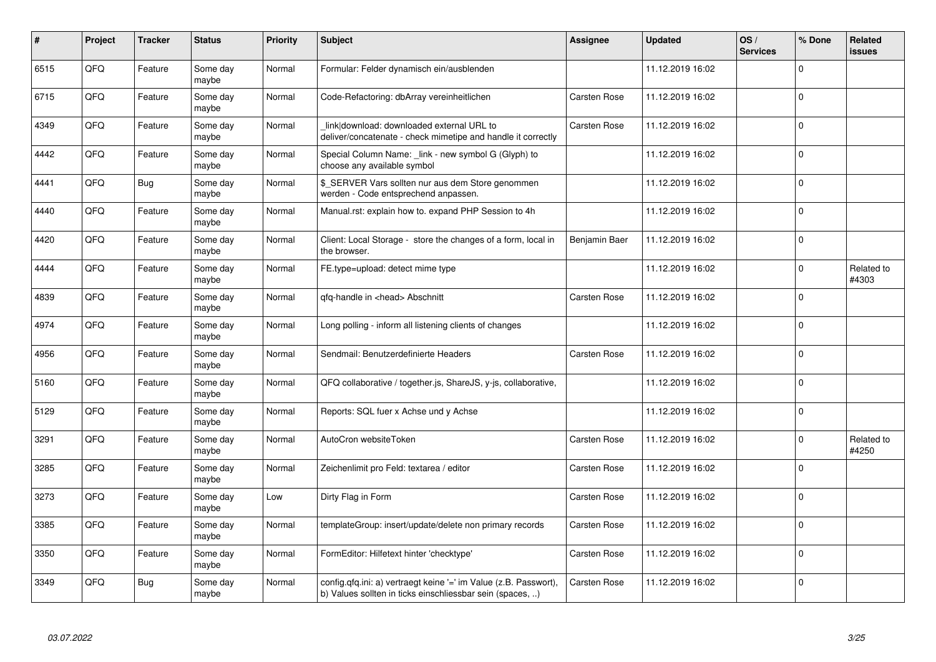| #    | Project | <b>Tracker</b> | <b>Status</b>     | <b>Priority</b> | <b>Subject</b>                                                                                                                | <b>Assignee</b> | <b>Updated</b>   | OS/<br><b>Services</b> | % Done      | Related<br>issues   |
|------|---------|----------------|-------------------|-----------------|-------------------------------------------------------------------------------------------------------------------------------|-----------------|------------------|------------------------|-------------|---------------------|
| 6515 | QFQ     | Feature        | Some day<br>maybe | Normal          | Formular: Felder dynamisch ein/ausblenden                                                                                     |                 | 11.12.2019 16:02 |                        | 0           |                     |
| 6715 | QFQ     | Feature        | Some day<br>maybe | Normal          | Code-Refactoring: dbArray vereinheitlichen                                                                                    | Carsten Rose    | 11.12.2019 16:02 |                        | $\mathbf 0$ |                     |
| 4349 | QFQ     | Feature        | Some day<br>maybe | Normal          | link download: downloaded external URL to<br>deliver/concatenate - check mimetipe and handle it correctly                     | Carsten Rose    | 11.12.2019 16:02 |                        | $\mathbf 0$ |                     |
| 4442 | QFQ     | Feature        | Some day<br>maybe | Normal          | Special Column Name: _link - new symbol G (Glyph) to<br>choose any available symbol                                           |                 | 11.12.2019 16:02 |                        | $\Omega$    |                     |
| 4441 | QFQ     | <b>Bug</b>     | Some day<br>maybe | Normal          | \$_SERVER Vars sollten nur aus dem Store genommen<br>werden - Code entsprechend anpassen.                                     |                 | 11.12.2019 16:02 |                        | $\mathbf 0$ |                     |
| 4440 | QFQ     | Feature        | Some day<br>maybe | Normal          | Manual.rst: explain how to. expand PHP Session to 4h                                                                          |                 | 11.12.2019 16:02 |                        | $\mathbf 0$ |                     |
| 4420 | QFQ     | Feature        | Some day<br>maybe | Normal          | Client: Local Storage - store the changes of a form, local in<br>the browser.                                                 | Benjamin Baer   | 11.12.2019 16:02 |                        | $\Omega$    |                     |
| 4444 | QFQ     | Feature        | Some day<br>maybe | Normal          | FE.type=upload: detect mime type                                                                                              |                 | 11.12.2019 16:02 |                        | $\Omega$    | Related to<br>#4303 |
| 4839 | QFQ     | Feature        | Some day<br>maybe | Normal          | qfq-handle in <head> Abschnitt</head>                                                                                         | Carsten Rose    | 11.12.2019 16:02 |                        | $\mathbf 0$ |                     |
| 4974 | QFQ     | Feature        | Some day<br>maybe | Normal          | Long polling - inform all listening clients of changes                                                                        |                 | 11.12.2019 16:02 |                        | $\mathbf 0$ |                     |
| 4956 | QFQ     | Feature        | Some day<br>maybe | Normal          | Sendmail: Benutzerdefinierte Headers                                                                                          | Carsten Rose    | 11.12.2019 16:02 |                        | $\Omega$    |                     |
| 5160 | QFQ     | Feature        | Some day<br>maybe | Normal          | QFQ collaborative / together.js, ShareJS, y-js, collaborative,                                                                |                 | 11.12.2019 16:02 |                        | 0           |                     |
| 5129 | QFQ     | Feature        | Some day<br>maybe | Normal          | Reports: SQL fuer x Achse und y Achse                                                                                         |                 | 11.12.2019 16:02 |                        | 0           |                     |
| 3291 | QFQ     | Feature        | Some day<br>maybe | Normal          | AutoCron websiteToken                                                                                                         | Carsten Rose    | 11.12.2019 16:02 |                        | 0           | Related to<br>#4250 |
| 3285 | QFQ     | Feature        | Some day<br>maybe | Normal          | Zeichenlimit pro Feld: textarea / editor                                                                                      | Carsten Rose    | 11.12.2019 16:02 |                        | $\Omega$    |                     |
| 3273 | QFQ     | Feature        | Some day<br>maybe | Low             | Dirty Flag in Form                                                                                                            | Carsten Rose    | 11.12.2019 16:02 |                        | $\Omega$    |                     |
| 3385 | QFQ     | Feature        | Some day<br>maybe | Normal          | templateGroup: insert/update/delete non primary records                                                                       | Carsten Rose    | 11.12.2019 16:02 |                        | $\mathbf 0$ |                     |
| 3350 | QFQ     | Feature        | Some day<br>maybe | Normal          | FormEditor: Hilfetext hinter 'checktype'                                                                                      | Carsten Rose    | 11.12.2019 16:02 |                        | $\Omega$    |                     |
| 3349 | QFQ     | <b>Bug</b>     | Some day<br>maybe | Normal          | config.qfq.ini: a) vertraegt keine '=' im Value (z.B. Passwort),<br>b) Values sollten in ticks einschliessbar sein (spaces, ) | Carsten Rose    | 11.12.2019 16:02 |                        | 0           |                     |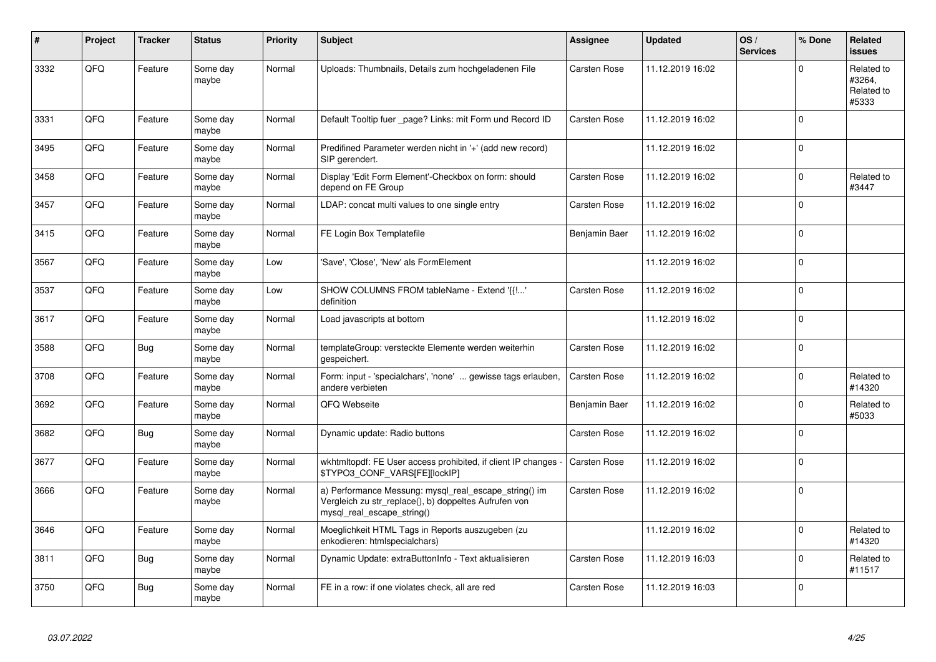| #    | Project | <b>Tracker</b> | <b>Status</b>     | <b>Priority</b> | <b>Subject</b>                                                                                                                               | Assignee      | <b>Updated</b>   | OS/<br><b>Services</b> | % Done      | Related<br><b>issues</b>                    |
|------|---------|----------------|-------------------|-----------------|----------------------------------------------------------------------------------------------------------------------------------------------|---------------|------------------|------------------------|-------------|---------------------------------------------|
| 3332 | QFQ     | Feature        | Some day<br>maybe | Normal          | Uploads: Thumbnails, Details zum hochgeladenen File                                                                                          | Carsten Rose  | 11.12.2019 16:02 |                        | $\mathbf 0$ | Related to<br>#3264,<br>Related to<br>#5333 |
| 3331 | QFQ     | Feature        | Some day<br>maybe | Normal          | Default Tooltip fuer page? Links: mit Form und Record ID                                                                                     | Carsten Rose  | 11.12.2019 16:02 |                        | $\Omega$    |                                             |
| 3495 | QFQ     | Feature        | Some day<br>maybe | Normal          | Predifined Parameter werden nicht in '+' (add new record)<br>SIP gerendert.                                                                  |               | 11.12.2019 16:02 |                        | $\Omega$    |                                             |
| 3458 | QFQ     | Feature        | Some day<br>maybe | Normal          | Display 'Edit Form Element'-Checkbox on form: should<br>depend on FE Group                                                                   | Carsten Rose  | 11.12.2019 16:02 |                        | $\Omega$    | Related to<br>#3447                         |
| 3457 | QFQ     | Feature        | Some day<br>maybe | Normal          | LDAP: concat multi values to one single entry                                                                                                | Carsten Rose  | 11.12.2019 16:02 |                        | $\mathbf 0$ |                                             |
| 3415 | QFQ     | Feature        | Some day<br>maybe | Normal          | FE Login Box Templatefile                                                                                                                    | Benjamin Baer | 11.12.2019 16:02 |                        | $\mathbf 0$ |                                             |
| 3567 | QFQ     | Feature        | Some day<br>maybe | Low             | 'Save', 'Close', 'New' als FormElement                                                                                                       |               | 11.12.2019 16:02 |                        | $\mathbf 0$ |                                             |
| 3537 | QFQ     | Feature        | Some day<br>maybe | Low             | SHOW COLUMNS FROM tableName - Extend '{{!'<br>definition                                                                                     | Carsten Rose  | 11.12.2019 16:02 |                        | 0           |                                             |
| 3617 | QFQ     | Feature        | Some day<br>maybe | Normal          | Load javascripts at bottom                                                                                                                   |               | 11.12.2019 16:02 |                        | $\Omega$    |                                             |
| 3588 | QFQ     | <b>Bug</b>     | Some day<br>maybe | Normal          | templateGroup: versteckte Elemente werden weiterhin<br>gespeichert.                                                                          | Carsten Rose  | 11.12.2019 16:02 |                        | $\Omega$    |                                             |
| 3708 | QFQ     | Feature        | Some day<br>maybe | Normal          | Form: input - 'specialchars', 'none'  gewisse tags erlauben,<br>andere verbieten                                                             | Carsten Rose  | 11.12.2019 16:02 |                        | $\Omega$    | Related to<br>#14320                        |
| 3692 | QFQ     | Feature        | Some day<br>maybe | Normal          | QFQ Webseite                                                                                                                                 | Benjamin Baer | 11.12.2019 16:02 |                        | $\mathbf 0$ | Related to<br>#5033                         |
| 3682 | QFQ     | <b>Bug</b>     | Some day<br>maybe | Normal          | Dynamic update: Radio buttons                                                                                                                | Carsten Rose  | 11.12.2019 16:02 |                        | $\mathbf 0$ |                                             |
| 3677 | QFQ     | Feature        | Some day<br>maybe | Normal          | wkhtmitopdf: FE User access prohibited, if client IP changes -<br>\$TYPO3_CONF_VARS[FE][lockIP]                                              | Carsten Rose  | 11.12.2019 16:02 |                        | $\Omega$    |                                             |
| 3666 | QFQ     | Feature        | Some day<br>maybe | Normal          | a) Performance Messung: mysql_real_escape_string() im<br>Vergleich zu str_replace(), b) doppeltes Aufrufen von<br>mysql_real_escape_string() | Carsten Rose  | 11.12.2019 16:02 |                        | 0           |                                             |
| 3646 | QFQ     | Feature        | Some day<br>maybe | Normal          | Moeglichkeit HTML Tags in Reports auszugeben (zu<br>enkodieren: htmlspecialchars)                                                            |               | 11.12.2019 16:02 |                        | $\mathbf 0$ | Related to<br>#14320                        |
| 3811 | QFQ     | Bug            | Some day<br>maybe | Normal          | Dynamic Update: extraButtonInfo - Text aktualisieren                                                                                         | Carsten Rose  | 11.12.2019 16:03 |                        | 0           | Related to<br>#11517                        |
| 3750 | QFQ     | <b>Bug</b>     | Some day<br>maybe | Normal          | FE in a row: if one violates check, all are red                                                                                              | Carsten Rose  | 11.12.2019 16:03 |                        | 0           |                                             |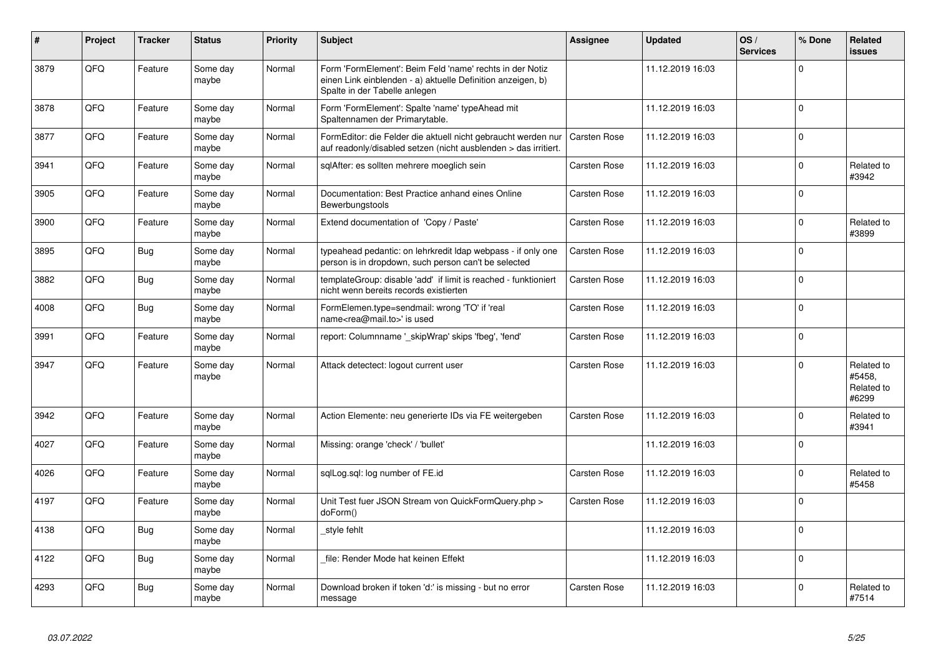| #    | <b>Project</b> | <b>Tracker</b> | <b>Status</b>     | <b>Priority</b> | <b>Subject</b>                                                                                                                                           | Assignee     | <b>Updated</b>   | OS/<br><b>Services</b> | % Done      | Related<br>issues                           |
|------|----------------|----------------|-------------------|-----------------|----------------------------------------------------------------------------------------------------------------------------------------------------------|--------------|------------------|------------------------|-------------|---------------------------------------------|
| 3879 | QFQ            | Feature        | Some day<br>maybe | Normal          | Form 'FormElement': Beim Feld 'name' rechts in der Notiz<br>einen Link einblenden - a) aktuelle Definition anzeigen, b)<br>Spalte in der Tabelle anlegen |              | 11.12.2019 16:03 |                        | $\Omega$    |                                             |
| 3878 | QFQ            | Feature        | Some day<br>maybe | Normal          | Form 'FormElement': Spalte 'name' typeAhead mit<br>Spaltennamen der Primarytable.                                                                        |              | 11.12.2019 16:03 |                        | $\Omega$    |                                             |
| 3877 | QFQ            | Feature        | Some day<br>maybe | Normal          | FormEditor: die Felder die aktuell nicht gebraucht werden nur<br>auf readonly/disabled setzen (nicht ausblenden > das irritiert.                         | Carsten Rose | 11.12.2019 16:03 |                        | $\Omega$    |                                             |
| 3941 | QFQ            | Feature        | Some day<br>maybe | Normal          | sqlAfter: es sollten mehrere moeglich sein                                                                                                               | Carsten Rose | 11.12.2019 16:03 |                        | $\Omega$    | Related to<br>#3942                         |
| 3905 | QFQ            | Feature        | Some day<br>maybe | Normal          | Documentation: Best Practice anhand eines Online<br>Bewerbungstools                                                                                      | Carsten Rose | 11.12.2019 16:03 |                        | $\Omega$    |                                             |
| 3900 | QFQ            | Feature        | Some day<br>maybe | Normal          | Extend documentation of 'Copy / Paste'                                                                                                                   | Carsten Rose | 11.12.2019 16:03 |                        | $\Omega$    | Related to<br>#3899                         |
| 3895 | QFQ            | <b>Bug</b>     | Some day<br>maybe | Normal          | typeahead pedantic: on lehrkredit Idap webpass - if only one<br>person is in dropdown, such person can't be selected                                     | Carsten Rose | 11.12.2019 16:03 |                        | $\Omega$    |                                             |
| 3882 | QFQ            | <b>Bug</b>     | Some day<br>maybe | Normal          | templateGroup: disable 'add' if limit is reached - funktioniert<br>nicht wenn bereits records existierten                                                | Carsten Rose | 11.12.2019 16:03 |                        | $\Omega$    |                                             |
| 4008 | QFQ            | <b>Bug</b>     | Some day<br>maybe | Normal          | FormElemen.type=sendmail: wrong 'TO' if 'real<br>name <rea@mail.to>' is used</rea@mail.to>                                                               | Carsten Rose | 11.12.2019 16:03 |                        | $\Omega$    |                                             |
| 3991 | QFQ            | Feature        | Some day<br>maybe | Normal          | report: Columnname '_skipWrap' skips 'fbeg', 'fend'                                                                                                      | Carsten Rose | 11.12.2019 16:03 |                        | $\mathbf 0$ |                                             |
| 3947 | QFQ            | Feature        | Some day<br>maybe | Normal          | Attack detectect: logout current user                                                                                                                    | Carsten Rose | 11.12.2019 16:03 |                        | $\Omega$    | Related to<br>#5458,<br>Related to<br>#6299 |
| 3942 | QFQ            | Feature        | Some day<br>maybe | Normal          | Action Elemente: neu generierte IDs via FE weitergeben                                                                                                   | Carsten Rose | 11.12.2019 16:03 |                        | $\Omega$    | Related to<br>#3941                         |
| 4027 | QFQ            | Feature        | Some day<br>maybe | Normal          | Missing: orange 'check' / 'bullet'                                                                                                                       |              | 11.12.2019 16:03 |                        | $\mathbf 0$ |                                             |
| 4026 | QFQ            | Feature        | Some day<br>maybe | Normal          | sqlLog.sql: log number of FE.id                                                                                                                          | Carsten Rose | 11.12.2019 16:03 |                        | $\Omega$    | Related to<br>#5458                         |
| 4197 | QFQ            | Feature        | Some day<br>maybe | Normal          | Unit Test fuer JSON Stream von QuickFormQuery.php ><br>doForm()                                                                                          | Carsten Rose | 11.12.2019 16:03 |                        | $\Omega$    |                                             |
| 4138 | QFQ            | Bug            | Some day<br>maybe | Normal          | style fehlt                                                                                                                                              |              | 11.12.2019 16:03 |                        | $\Omega$    |                                             |
| 4122 | QFQ            | <b>Bug</b>     | Some day<br>maybe | Normal          | file: Render Mode hat keinen Effekt                                                                                                                      |              | 11.12.2019 16:03 |                        | $\Omega$    |                                             |
| 4293 | QFQ            | <b>Bug</b>     | Some day<br>maybe | Normal          | Download broken if token 'd:' is missing - but no error<br>message                                                                                       | Carsten Rose | 11.12.2019 16:03 |                        | $\Omega$    | Related to<br>#7514                         |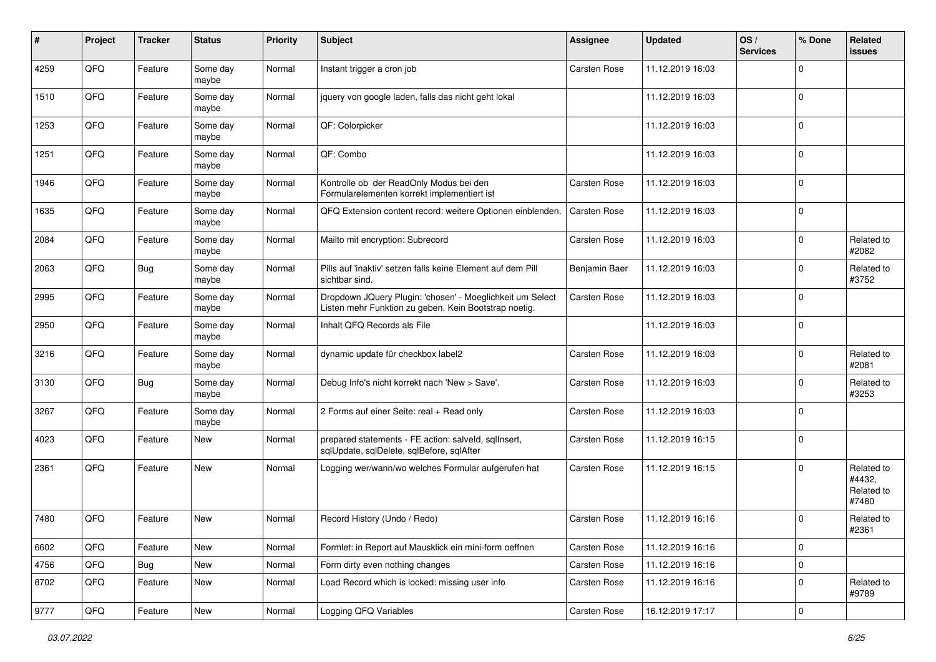| ∦    | Project        | <b>Tracker</b> | <b>Status</b>     | <b>Priority</b> | <b>Subject</b>                                                                                                     | <b>Assignee</b>     | <b>Updated</b>   | OS/<br><b>Services</b> | % Done      | Related<br><b>issues</b>                    |
|------|----------------|----------------|-------------------|-----------------|--------------------------------------------------------------------------------------------------------------------|---------------------|------------------|------------------------|-------------|---------------------------------------------|
| 4259 | QFQ            | Feature        | Some day<br>maybe | Normal          | Instant trigger a cron job                                                                                         | <b>Carsten Rose</b> | 11.12.2019 16:03 |                        | 0           |                                             |
| 1510 | QFQ            | Feature        | Some day<br>maybe | Normal          | jquery von google laden, falls das nicht geht lokal                                                                |                     | 11.12.2019 16:03 |                        | $\Omega$    |                                             |
| 1253 | QFQ            | Feature        | Some day<br>maybe | Normal          | QF: Colorpicker                                                                                                    |                     | 11.12.2019 16:03 |                        | 0           |                                             |
| 1251 | QFQ            | Feature        | Some day<br>maybe | Normal          | QF: Combo                                                                                                          |                     | 11.12.2019 16:03 |                        | $\Omega$    |                                             |
| 1946 | QFQ            | Feature        | Some day<br>maybe | Normal          | Kontrolle ob der ReadOnly Modus bei den<br>Formularelementen korrekt implementiert ist                             | Carsten Rose        | 11.12.2019 16:03 |                        | $\Omega$    |                                             |
| 1635 | QFQ            | Feature        | Some day<br>maybe | Normal          | QFQ Extension content record: weitere Optionen einblenden.                                                         | <b>Carsten Rose</b> | 11.12.2019 16:03 |                        | $\Omega$    |                                             |
| 2084 | QFQ            | Feature        | Some day<br>maybe | Normal          | Mailto mit encryption: Subrecord                                                                                   | <b>Carsten Rose</b> | 11.12.2019 16:03 |                        | $\Omega$    | Related to<br>#2082                         |
| 2063 | QFQ            | <b>Bug</b>     | Some day<br>maybe | Normal          | Pills auf 'inaktiv' setzen falls keine Element auf dem Pill<br>sichtbar sind.                                      | Benjamin Baer       | 11.12.2019 16:03 |                        | 0           | Related to<br>#3752                         |
| 2995 | QFQ            | Feature        | Some day<br>maybe | Normal          | Dropdown JQuery Plugin: 'chosen' - Moeglichkeit um Select<br>Listen mehr Funktion zu geben. Kein Bootstrap noetig. | <b>Carsten Rose</b> | 11.12.2019 16:03 |                        | $\mathbf 0$ |                                             |
| 2950 | QFQ            | Feature        | Some day<br>maybe | Normal          | Inhalt QFQ Records als File                                                                                        |                     | 11.12.2019 16:03 |                        | 0           |                                             |
| 3216 | QFQ            | Feature        | Some day<br>maybe | Normal          | dynamic update für checkbox label2                                                                                 | Carsten Rose        | 11.12.2019 16:03 |                        | $\mathbf 0$ | Related to<br>#2081                         |
| 3130 | QFQ            | <b>Bug</b>     | Some day<br>maybe | Normal          | Debug Info's nicht korrekt nach 'New > Save'.                                                                      | Carsten Rose        | 11.12.2019 16:03 |                        | $\Omega$    | Related to<br>#3253                         |
| 3267 | QFQ            | Feature        | Some day<br>maybe | Normal          | 2 Forms auf einer Seite: real + Read only                                                                          | <b>Carsten Rose</b> | 11.12.2019 16:03 |                        | $\Omega$    |                                             |
| 4023 | QFQ            | Feature        | New               | Normal          | prepared statements - FE action: salveld, sqllnsert,<br>sqlUpdate, sqlDelete, sqlBefore, sqlAfter                  | <b>Carsten Rose</b> | 11.12.2019 16:15 |                        | $\Omega$    |                                             |
| 2361 | QFQ            | Feature        | New               | Normal          | Logging wer/wann/wo welches Formular aufgerufen hat                                                                | <b>Carsten Rose</b> | 11.12.2019 16:15 |                        | $\Omega$    | Related to<br>#4432,<br>Related to<br>#7480 |
| 7480 | QFQ            | Feature        | New               | Normal          | Record History (Undo / Redo)                                                                                       | <b>Carsten Rose</b> | 11.12.2019 16:16 |                        | 0           | Related to<br>#2361                         |
| 6602 | QFG            | Feature        | New               | Normal          | Formlet: in Report auf Mausklick ein mini-form oeffnen                                                             | Carsten Rose        | 11.12.2019 16:16 |                        | 0           |                                             |
| 4756 | QFG            | <b>Bug</b>     | New               | Normal          | Form dirty even nothing changes                                                                                    | Carsten Rose        | 11.12.2019 16:16 |                        | $\mathbf 0$ |                                             |
| 8702 | QFQ            | Feature        | New               | Normal          | Load Record which is locked: missing user info                                                                     | Carsten Rose        | 11.12.2019 16:16 |                        | 0           | Related to<br>#9789                         |
| 9777 | $\mathsf{QFQ}$ | Feature        | New               | Normal          | Logging QFQ Variables                                                                                              | Carsten Rose        | 16.12.2019 17:17 |                        | $\mathbf 0$ |                                             |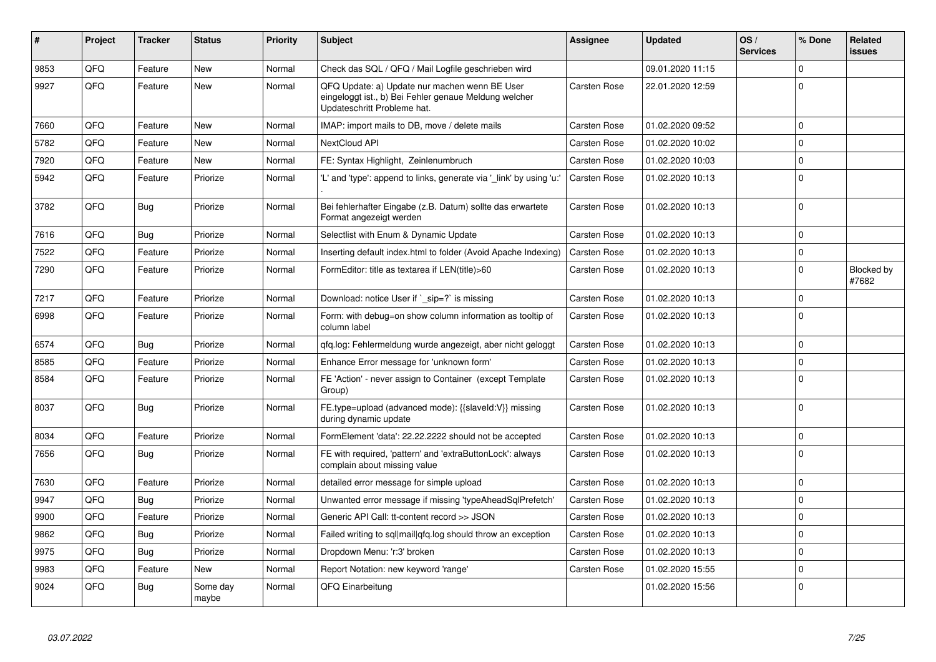| #    | <b>Project</b> | <b>Tracker</b> | <b>Status</b>     | <b>Priority</b> | <b>Subject</b>                                                                                                                        | Assignee            | <b>Updated</b>   | OS/<br><b>Services</b> | % Done      | Related<br>issues   |
|------|----------------|----------------|-------------------|-----------------|---------------------------------------------------------------------------------------------------------------------------------------|---------------------|------------------|------------------------|-------------|---------------------|
| 9853 | QFQ            | Feature        | <b>New</b>        | Normal          | Check das SQL / QFQ / Mail Logfile geschrieben wird                                                                                   |                     | 09.01.2020 11:15 |                        | $\Omega$    |                     |
| 9927 | QFQ            | Feature        | New               | Normal          | QFQ Update: a) Update nur machen wenn BE User<br>eingeloggt ist., b) Bei Fehler genaue Meldung welcher<br>Updateschritt Probleme hat. | Carsten Rose        | 22.01.2020 12:59 |                        | $\Omega$    |                     |
| 7660 | QFQ            | Feature        | <b>New</b>        | Normal          | IMAP: import mails to DB, move / delete mails                                                                                         | Carsten Rose        | 01.02.2020 09:52 |                        | $\Omega$    |                     |
| 5782 | QFQ            | Feature        | <b>New</b>        | Normal          | NextCloud API                                                                                                                         | Carsten Rose        | 01.02.2020 10:02 |                        | $\mathbf 0$ |                     |
| 7920 | QFQ            | Feature        | <b>New</b>        | Normal          | FE: Syntax Highlight, Zeinlenumbruch                                                                                                  | Carsten Rose        | 01.02.2020 10:03 |                        | $\Omega$    |                     |
| 5942 | QFQ            | Feature        | Priorize          | Normal          | 'L' and 'type': append to links, generate via ' link' by using 'u:'                                                                   | Carsten Rose        | 01.02.2020 10:13 |                        | $\Omega$    |                     |
| 3782 | QFQ            | <b>Bug</b>     | Priorize          | Normal          | Bei fehlerhafter Eingabe (z.B. Datum) sollte das erwartete<br>Format angezeigt werden                                                 | Carsten Rose        | 01.02.2020 10:13 |                        | $\Omega$    |                     |
| 7616 | QFQ            | Bug            | Priorize          | Normal          | Selectlist with Enum & Dynamic Update                                                                                                 | Carsten Rose        | 01.02.2020 10:13 |                        | $\Omega$    |                     |
| 7522 | QFQ            | Feature        | Priorize          | Normal          | Inserting default index.html to folder (Avoid Apache Indexing)                                                                        | <b>Carsten Rose</b> | 01.02.2020 10:13 |                        | $\mathbf 0$ |                     |
| 7290 | QFQ            | Feature        | Priorize          | Normal          | FormEditor: title as textarea if LEN(title)>60                                                                                        | Carsten Rose        | 01.02.2020 10:13 |                        | $\Omega$    | Blocked by<br>#7682 |
| 7217 | QFQ            | Feature        | Priorize          | Normal          | Download: notice User if `_sip=?` is missing                                                                                          | Carsten Rose        | 01.02.2020 10:13 |                        | $\Omega$    |                     |
| 6998 | QFQ            | Feature        | Priorize          | Normal          | Form: with debug=on show column information as tooltip of<br>column label                                                             | Carsten Rose        | 01.02.2020 10:13 |                        | $\Omega$    |                     |
| 6574 | QFQ            | Bug            | Priorize          | Normal          | gfg.log: Fehlermeldung wurde angezeigt, aber nicht geloggt                                                                            | Carsten Rose        | 01.02.2020 10:13 |                        | $\mathbf 0$ |                     |
| 8585 | QFQ            | Feature        | Priorize          | Normal          | Enhance Error message for 'unknown form'                                                                                              | Carsten Rose        | 01.02.2020 10:13 |                        | $\Omega$    |                     |
| 8584 | QFQ            | Feature        | Priorize          | Normal          | FE 'Action' - never assign to Container (except Template<br>Group)                                                                    | Carsten Rose        | 01.02.2020 10:13 |                        | $\Omega$    |                     |
| 8037 | QFQ            | Bug            | Priorize          | Normal          | FE.type=upload (advanced mode): {{slaveld:V}} missing<br>during dynamic update                                                        | Carsten Rose        | 01.02.2020 10:13 |                        | $\Omega$    |                     |
| 8034 | QFQ            | Feature        | Priorize          | Normal          | FormElement 'data': 22.22.2222 should not be accepted                                                                                 | Carsten Rose        | 01.02.2020 10:13 |                        | $\mathbf 0$ |                     |
| 7656 | QFQ            | Bug            | Priorize          | Normal          | FE with required, 'pattern' and 'extraButtonLock': always<br>complain about missing value                                             | Carsten Rose        | 01.02.2020 10:13 |                        | $\Omega$    |                     |
| 7630 | QFQ            | Feature        | Priorize          | Normal          | detailed error message for simple upload                                                                                              | Carsten Rose        | 01.02.2020 10:13 |                        | $\mathbf 0$ |                     |
| 9947 | QFQ            | <b>Bug</b>     | Priorize          | Normal          | Unwanted error message if missing 'typeAheadSqlPrefetch'                                                                              | Carsten Rose        | 01.02.2020 10:13 |                        | $\Omega$    |                     |
| 9900 | QFQ            | Feature        | Priorize          | Normal          | Generic API Call: tt-content record >> JSON                                                                                           | Carsten Rose        | 01.02.2020 10:13 |                        | $\mathbf 0$ |                     |
| 9862 | QFQ            | Bug            | Priorize          | Normal          | Failed writing to sql mail qfq.log should throw an exception                                                                          | Carsten Rose        | 01.02.2020 10:13 |                        | $\Omega$    |                     |
| 9975 | QFQ            | Bug            | Priorize          | Normal          | Dropdown Menu: 'r:3' broken                                                                                                           | Carsten Rose        | 01.02.2020 10:13 |                        | $\Omega$    |                     |
| 9983 | QFQ            | Feature        | New               | Normal          | Report Notation: new keyword 'range'                                                                                                  | <b>Carsten Rose</b> | 01.02.2020 15:55 |                        | $\mathbf 0$ |                     |
| 9024 | QFQ            | Bug            | Some day<br>maybe | Normal          | QFQ Einarbeitung                                                                                                                      |                     | 01.02.2020 15:56 |                        | $\Omega$    |                     |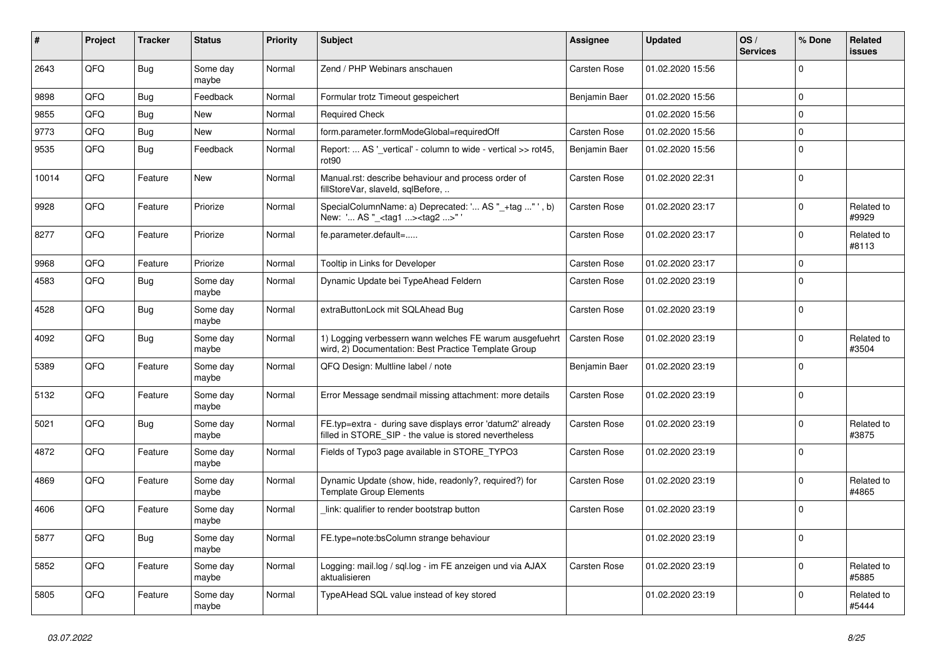| $\sharp$ | Project | <b>Tracker</b> | <b>Status</b>     | <b>Priority</b> | <b>Subject</b>                                                                                                       | Assignee            | <b>Updated</b>   | OS/<br><b>Services</b> | % Done      | Related<br>issues   |
|----------|---------|----------------|-------------------|-----------------|----------------------------------------------------------------------------------------------------------------------|---------------------|------------------|------------------------|-------------|---------------------|
| 2643     | QFQ     | Bug            | Some day<br>maybe | Normal          | Zend / PHP Webinars anschauen                                                                                        | Carsten Rose        | 01.02.2020 15:56 |                        | $\Omega$    |                     |
| 9898     | QFQ     | <b>Bug</b>     | Feedback          | Normal          | Formular trotz Timeout gespeichert                                                                                   | Benjamin Baer       | 01.02.2020 15:56 |                        | $\mathbf 0$ |                     |
| 9855     | QFQ     | <b>Bug</b>     | New               | Normal          | <b>Required Check</b>                                                                                                |                     | 01.02.2020 15:56 |                        | 0           |                     |
| 9773     | QFQ     | Bug            | New               | Normal          | form.parameter.formModeGlobal=requiredOff                                                                            | Carsten Rose        | 01.02.2020 15:56 |                        | $\mathbf 0$ |                     |
| 9535     | QFQ     | Bug            | Feedback          | Normal          | Report:  AS '_vertical' - column to wide - vertical >> rot45,<br>rot90                                               | Benjamin Baer       | 01.02.2020 15:56 |                        | $\Omega$    |                     |
| 10014    | QFQ     | Feature        | New               | Normal          | Manual.rst: describe behaviour and process order of<br>fillStoreVar, slaveId, sqlBefore,                             | Carsten Rose        | 01.02.2020 22:31 |                        | $\Omega$    |                     |
| 9928     | QFQ     | Feature        | Priorize          | Normal          | SpecialColumnName: a) Deprecated: ' AS "_+tag " ', b)<br>New: ' AS "_ <tag1><tag2>"</tag2></tag1>                    | <b>Carsten Rose</b> | 01.02.2020 23:17 |                        | $\Omega$    | Related to<br>#9929 |
| 8277     | QFQ     | Feature        | Priorize          | Normal          | fe.parameter.default=                                                                                                | Carsten Rose        | 01.02.2020 23:17 |                        | $\mathbf 0$ | Related to<br>#8113 |
| 9968     | QFQ     | Feature        | Priorize          | Normal          | Tooltip in Links for Developer                                                                                       | Carsten Rose        | 01.02.2020 23:17 |                        | $\Omega$    |                     |
| 4583     | QFQ     | Bug            | Some day<br>maybe | Normal          | Dynamic Update bei TypeAhead Feldern                                                                                 | Carsten Rose        | 01.02.2020 23:19 |                        | $\Omega$    |                     |
| 4528     | QFQ     | Bug            | Some day<br>maybe | Normal          | extraButtonLock mit SQLAhead Bug                                                                                     | Carsten Rose        | 01.02.2020 23:19 |                        | 0           |                     |
| 4092     | QFQ     | Bug            | Some day<br>maybe | Normal          | 1) Logging verbessern wann welches FE warum ausgefuehrt<br>wird, 2) Documentation: Best Practice Template Group      | Carsten Rose        | 01.02.2020 23:19 |                        | $\Omega$    | Related to<br>#3504 |
| 5389     | QFQ     | Feature        | Some day<br>maybe | Normal          | QFQ Design: Multline label / note                                                                                    | Benjamin Baer       | 01.02.2020 23:19 |                        | $\Omega$    |                     |
| 5132     | QFQ     | Feature        | Some day<br>maybe | Normal          | Error Message sendmail missing attachment: more details                                                              | Carsten Rose        | 01.02.2020 23:19 |                        | $\Omega$    |                     |
| 5021     | QFQ     | <b>Bug</b>     | Some day<br>maybe | Normal          | FE.typ=extra - during save displays error 'datum2' already<br>filled in STORE_SIP - the value is stored nevertheless | Carsten Rose        | 01.02.2020 23:19 |                        | $\Omega$    | Related to<br>#3875 |
| 4872     | QFQ     | Feature        | Some day<br>maybe | Normal          | Fields of Typo3 page available in STORE_TYPO3                                                                        | Carsten Rose        | 01.02.2020 23:19 |                        | $\Omega$    |                     |
| 4869     | QFQ     | Feature        | Some day<br>maybe | Normal          | Dynamic Update (show, hide, readonly?, required?) for<br><b>Template Group Elements</b>                              | Carsten Rose        | 01.02.2020 23:19 |                        | $\Omega$    | Related to<br>#4865 |
| 4606     | QFQ     | Feature        | Some day<br>maybe | Normal          | link: qualifier to render bootstrap button                                                                           | <b>Carsten Rose</b> | 01.02.2020 23:19 |                        | 0           |                     |
| 5877     | QFQ     | <b>Bug</b>     | Some day<br>maybe | Normal          | FE.type=note:bsColumn strange behaviour                                                                              |                     | 01.02.2020 23:19 |                        | 0           |                     |
| 5852     | QFQ     | Feature        | Some day<br>maybe | Normal          | Logging: mail.log / sql.log - im FE anzeigen und via AJAX<br>aktualisieren                                           | Carsten Rose        | 01.02.2020 23:19 |                        | $\mathbf 0$ | Related to<br>#5885 |
| 5805     | QFQ     | Feature        | Some day<br>maybe | Normal          | TypeAHead SQL value instead of key stored                                                                            |                     | 01.02.2020 23:19 |                        | 0           | Related to<br>#5444 |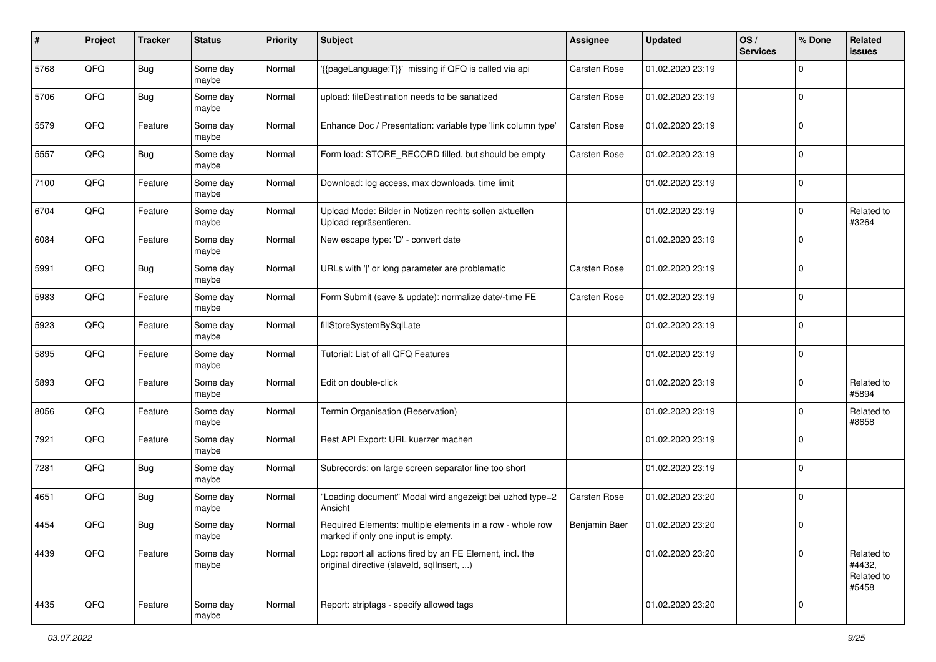| #    | Project | <b>Tracker</b> | <b>Status</b>     | <b>Priority</b> | <b>Subject</b>                                                                                         | <b>Assignee</b>      | <b>Updated</b>   | OS/<br><b>Services</b> | % Done      | Related<br>issues                           |
|------|---------|----------------|-------------------|-----------------|--------------------------------------------------------------------------------------------------------|----------------------|------------------|------------------------|-------------|---------------------------------------------|
| 5768 | QFQ     | <b>Bug</b>     | Some day<br>maybe | Normal          | '{{pageLanguage:T}}' missing if QFQ is called via api                                                  | Carsten Rose         | 01.02.2020 23:19 |                        | 0           |                                             |
| 5706 | QFQ     | <b>Bug</b>     | Some day<br>maybe | Normal          | upload: fileDestination needs to be sanatized                                                          | <b>Carsten Rose</b>  | 01.02.2020 23:19 |                        | 0           |                                             |
| 5579 | QFQ     | Feature        | Some day<br>maybe | Normal          | Enhance Doc / Presentation: variable type 'link column type'                                           | Carsten Rose         | 01.02.2020 23:19 |                        | 0           |                                             |
| 5557 | QFQ     | <b>Bug</b>     | Some day<br>maybe | Normal          | Form load: STORE_RECORD filled, but should be empty                                                    | Carsten Rose         | 01.02.2020 23:19 |                        | $\mathbf 0$ |                                             |
| 7100 | QFQ     | Feature        | Some day<br>maybe | Normal          | Download: log access, max downloads, time limit                                                        |                      | 01.02.2020 23:19 |                        | $\mathbf 0$ |                                             |
| 6704 | QFQ     | Feature        | Some day<br>maybe | Normal          | Upload Mode: Bilder in Notizen rechts sollen aktuellen<br>Upload repräsentieren.                       |                      | 01.02.2020 23:19 |                        | $\mathbf 0$ | Related to<br>#3264                         |
| 6084 | QFQ     | Feature        | Some day<br>maybe | Normal          | New escape type: 'D' - convert date                                                                    |                      | 01.02.2020 23:19 |                        | $\mathbf 0$ |                                             |
| 5991 | QFQ     | <b>Bug</b>     | Some day<br>maybe | Normal          | URLs with ' ' or long parameter are problematic                                                        | <b>Carsten Rose</b>  | 01.02.2020 23:19 |                        | 0           |                                             |
| 5983 | QFQ     | Feature        | Some day<br>maybe | Normal          | Form Submit (save & update): normalize date/-time FE                                                   | <b>Carsten Rose</b>  | 01.02.2020 23:19 |                        | $\mathbf 0$ |                                             |
| 5923 | QFQ     | Feature        | Some day<br>maybe | Normal          | fillStoreSystemBySqlLate                                                                               |                      | 01.02.2020 23:19 |                        | 0           |                                             |
| 5895 | QFQ     | Feature        | Some day<br>maybe | Normal          | Tutorial: List of all QFQ Features                                                                     |                      | 01.02.2020 23:19 |                        | $\mathbf 0$ |                                             |
| 5893 | QFQ     | Feature        | Some day<br>maybe | Normal          | Edit on double-click                                                                                   |                      | 01.02.2020 23:19 |                        | $\mathbf 0$ | Related to<br>#5894                         |
| 8056 | QFQ     | Feature        | Some day<br>maybe | Normal          | Termin Organisation (Reservation)                                                                      |                      | 01.02.2020 23:19 |                        | $\mathbf 0$ | Related to<br>#8658                         |
| 7921 | QFQ     | Feature        | Some day<br>maybe | Normal          | Rest API Export: URL kuerzer machen                                                                    |                      | 01.02.2020 23:19 |                        | $\mathbf 0$ |                                             |
| 7281 | QFQ     | <b>Bug</b>     | Some day<br>maybe | Normal          | Subrecords: on large screen separator line too short                                                   |                      | 01.02.2020 23:19 |                        | $\mathbf 0$ |                                             |
| 4651 | QFQ     | <b>Bug</b>     | Some day<br>maybe | Normal          | 'Loading document" Modal wird angezeigt bei uzhcd type=2<br>Ansicht                                    | <b>Carsten Rose</b>  | 01.02.2020 23:20 |                        | $\mathbf 0$ |                                             |
| 4454 | QFQ     | <b>Bug</b>     | Some day<br>maybe | Normal          | Required Elements: multiple elements in a row - whole row<br>marked if only one input is empty.        | <b>Beniamin Baer</b> | 01.02.2020 23:20 |                        | 0           |                                             |
| 4439 | QFQ     | Feature        | Some day<br>maybe | Normal          | Log: report all actions fired by an FE Element, incl. the<br>original directive (slaveld, sqlInsert, ) |                      | 01.02.2020 23:20 |                        | $\Omega$    | Related to<br>#4432,<br>Related to<br>#5458 |
| 4435 | QFQ     | Feature        | Some day<br>maybe | Normal          | Report: striptags - specify allowed tags                                                               |                      | 01.02.2020 23:20 |                        | $\mathbf 0$ |                                             |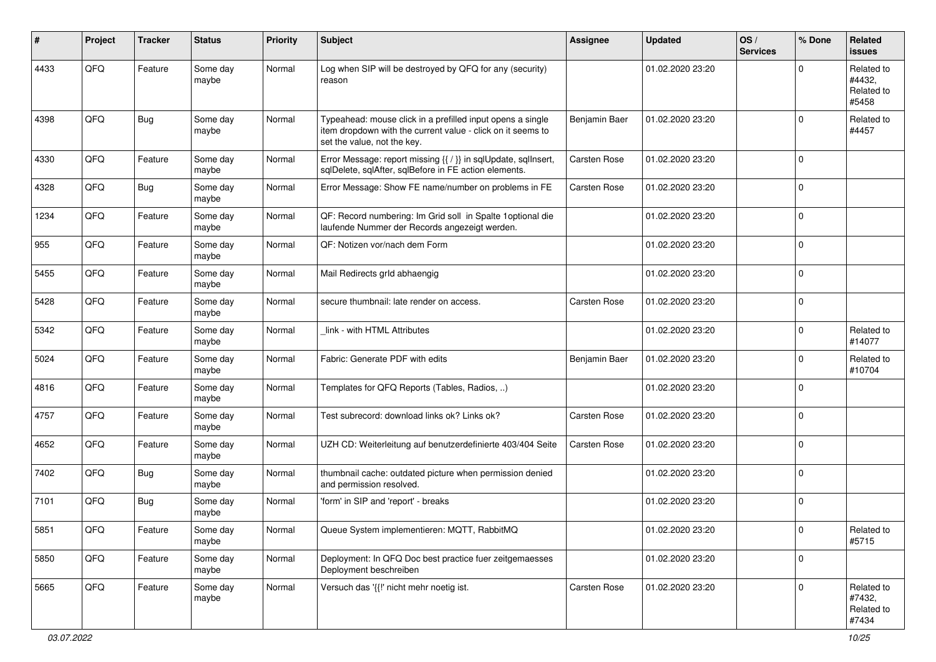| #    | Project | <b>Tracker</b> | <b>Status</b>     | <b>Priority</b> | <b>Subject</b>                                                                                                                                           | <b>Assignee</b> | <b>Updated</b>   | OS/<br><b>Services</b> | % Done      | Related<br>issues                           |
|------|---------|----------------|-------------------|-----------------|----------------------------------------------------------------------------------------------------------------------------------------------------------|-----------------|------------------|------------------------|-------------|---------------------------------------------|
| 4433 | QFQ     | Feature        | Some day<br>maybe | Normal          | Log when SIP will be destroyed by QFQ for any (security)<br>reason                                                                                       |                 | 01.02.2020 23:20 |                        | U           | Related to<br>#4432,<br>Related to<br>#5458 |
| 4398 | QFQ     | <b>Bug</b>     | Some day<br>maybe | Normal          | Typeahead: mouse click in a prefilled input opens a single<br>item dropdown with the current value - click on it seems to<br>set the value, not the key. | Benjamin Baer   | 01.02.2020 23:20 |                        | $\Omega$    | Related to<br>#4457                         |
| 4330 | QFQ     | Feature        | Some day<br>maybe | Normal          | Error Message: report missing {{ / }} in sqlUpdate, sqlInsert,<br>sqlDelete, sqlAfter, sqlBefore in FE action elements.                                  | Carsten Rose    | 01.02.2020 23:20 |                        | $\Omega$    |                                             |
| 4328 | QFQ     | Bug            | Some day<br>maybe | Normal          | Error Message: Show FE name/number on problems in FE                                                                                                     | Carsten Rose    | 01.02.2020 23:20 |                        | $\Omega$    |                                             |
| 1234 | QFQ     | Feature        | Some day<br>maybe | Normal          | QF: Record numbering: Im Grid soll in Spalte 1 optional die<br>laufende Nummer der Records angezeigt werden.                                             |                 | 01.02.2020 23:20 |                        | $\mathbf 0$ |                                             |
| 955  | QFQ     | Feature        | Some day<br>maybe | Normal          | QF: Notizen vor/nach dem Form                                                                                                                            |                 | 01.02.2020 23:20 |                        | $\Omega$    |                                             |
| 5455 | QFQ     | Feature        | Some day<br>maybe | Normal          | Mail Redirects grld abhaengig                                                                                                                            |                 | 01.02.2020 23:20 |                        | $\Omega$    |                                             |
| 5428 | QFQ     | Feature        | Some day<br>maybe | Normal          | secure thumbnail: late render on access.                                                                                                                 | Carsten Rose    | 01.02.2020 23:20 |                        | $\Omega$    |                                             |
| 5342 | QFQ     | Feature        | Some day<br>maybe | Normal          | link - with HTML Attributes                                                                                                                              |                 | 01.02.2020 23:20 |                        | $\Omega$    | Related to<br>#14077                        |
| 5024 | QFQ     | Feature        | Some day<br>maybe | Normal          | Fabric: Generate PDF with edits                                                                                                                          | Benjamin Baer   | 01.02.2020 23:20 |                        | $\Omega$    | Related to<br>#10704                        |
| 4816 | QFQ     | Feature        | Some day<br>maybe | Normal          | Templates for QFQ Reports (Tables, Radios, )                                                                                                             |                 | 01.02.2020 23:20 |                        | $\Omega$    |                                             |
| 4757 | QFQ     | Feature        | Some day<br>maybe | Normal          | Test subrecord: download links ok? Links ok?                                                                                                             | Carsten Rose    | 01.02.2020 23:20 |                        | $\mathbf 0$ |                                             |
| 4652 | QFQ     | Feature        | Some day<br>maybe | Normal          | UZH CD: Weiterleitung auf benutzerdefinierte 403/404 Seite                                                                                               | Carsten Rose    | 01.02.2020 23:20 |                        | $\mathbf 0$ |                                             |
| 7402 | QFQ     | <b>Bug</b>     | Some day<br>maybe | Normal          | thumbnail cache: outdated picture when permission denied<br>and permission resolved.                                                                     |                 | 01.02.2020 23:20 |                        | $\Omega$    |                                             |
| 7101 | QFQ     | <b>Bug</b>     | Some day<br>maybe | Normal          | 'form' in SIP and 'report' - breaks                                                                                                                      |                 | 01.02.2020 23:20 |                        | $\Omega$    |                                             |
| 5851 | QFQ     | Feature        | Some day<br>maybe | Normal          | Queue System implementieren: MQTT, RabbitMQ                                                                                                              |                 | 01.02.2020 23:20 |                        | 0           | Related to<br>#5715                         |
| 5850 | QFQ     | Feature        | Some day<br>maybe | Normal          | Deployment: In QFQ Doc best practice fuer zeitgemaesses<br>Deployment beschreiben                                                                        |                 | 01.02.2020 23:20 |                        | $\mathbf 0$ |                                             |
| 5665 | QFQ     | Feature        | Some day<br>maybe | Normal          | Versuch das '{{!' nicht mehr noetig ist.                                                                                                                 | Carsten Rose    | 01.02.2020 23:20 |                        | $\mathbf 0$ | Related to<br>#7432,<br>Related to<br>#7434 |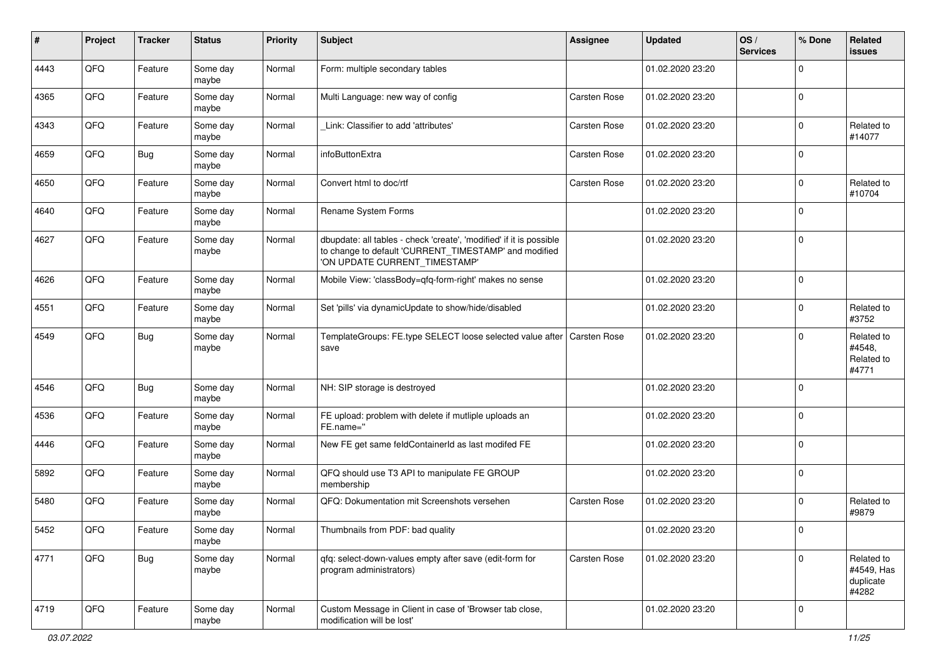| ∦    | Project | <b>Tracker</b> | <b>Status</b>     | <b>Priority</b> | <b>Subject</b>                                                                                                                                                | <b>Assignee</b> | <b>Updated</b>   | OS/<br><b>Services</b> | % Done         | Related<br>issues                              |
|------|---------|----------------|-------------------|-----------------|---------------------------------------------------------------------------------------------------------------------------------------------------------------|-----------------|------------------|------------------------|----------------|------------------------------------------------|
| 4443 | QFQ     | Feature        | Some day<br>maybe | Normal          | Form: multiple secondary tables                                                                                                                               |                 | 01.02.2020 23:20 |                        | $\mathbf 0$    |                                                |
| 4365 | QFQ     | Feature        | Some day<br>maybe | Normal          | Multi Language: new way of config                                                                                                                             | Carsten Rose    | 01.02.2020 23:20 |                        | $\mathbf 0$    |                                                |
| 4343 | QFQ     | Feature        | Some day<br>maybe | Normal          | Link: Classifier to add 'attributes'                                                                                                                          | Carsten Rose    | 01.02.2020 23:20 |                        | $\mathbf 0$    | Related to<br>#14077                           |
| 4659 | QFQ     | <b>Bug</b>     | Some day<br>maybe | Normal          | infoButtonExtra                                                                                                                                               | Carsten Rose    | 01.02.2020 23:20 |                        | 0              |                                                |
| 4650 | QFQ     | Feature        | Some day<br>maybe | Normal          | Convert html to doc/rtf                                                                                                                                       | Carsten Rose    | 01.02.2020 23:20 |                        | $\overline{0}$ | Related to<br>#10704                           |
| 4640 | QFQ     | Feature        | Some day<br>maybe | Normal          | Rename System Forms                                                                                                                                           |                 | 01.02.2020 23:20 |                        | 0              |                                                |
| 4627 | QFQ     | Feature        | Some day<br>maybe | Normal          | dbupdate: all tables - check 'create', 'modified' if it is possible<br>to change to default 'CURRENT_TIMESTAMP' and modified<br>'ON UPDATE CURRENT_TIMESTAMP' |                 | 01.02.2020 23:20 |                        | $\mathbf 0$    |                                                |
| 4626 | QFQ     | Feature        | Some day<br>maybe | Normal          | Mobile View: 'classBody=qfq-form-right' makes no sense                                                                                                        |                 | 01.02.2020 23:20 |                        | $\mathbf 0$    |                                                |
| 4551 | QFQ     | Feature        | Some day<br>maybe | Normal          | Set 'pills' via dynamicUpdate to show/hide/disabled                                                                                                           |                 | 01.02.2020 23:20 |                        | $\mathbf 0$    | Related to<br>#3752                            |
| 4549 | QFQ     | Bug            | Some day<br>maybe | Normal          | TemplateGroups: FE.type SELECT loose selected value after   Carsten Rose<br>save                                                                              |                 | 01.02.2020 23:20 |                        | $\mathbf 0$    | Related to<br>#4548,<br>Related to<br>#4771    |
| 4546 | QFQ     | <b>Bug</b>     | Some day<br>maybe | Normal          | NH: SIP storage is destroyed                                                                                                                                  |                 | 01.02.2020 23:20 |                        | 0              |                                                |
| 4536 | QFQ     | Feature        | Some day<br>maybe | Normal          | FE upload: problem with delete if mutliple uploads an<br>FE.name="                                                                                            |                 | 01.02.2020 23:20 |                        | $\mathbf 0$    |                                                |
| 4446 | QFQ     | Feature        | Some day<br>maybe | Normal          | New FE get same feldContainerId as last modifed FE                                                                                                            |                 | 01.02.2020 23:20 |                        | 0              |                                                |
| 5892 | QFQ     | Feature        | Some day<br>maybe | Normal          | QFQ should use T3 API to manipulate FE GROUP<br>membership                                                                                                    |                 | 01.02.2020 23:20 |                        | $\mathbf 0$    |                                                |
| 5480 | QFQ     | Feature        | Some day<br>maybe | Normal          | QFQ: Dokumentation mit Screenshots versehen                                                                                                                   | Carsten Rose    | 01.02.2020 23:20 |                        | $\mathbf 0$    | Related to<br>#9879                            |
| 5452 | QFG     | Feature        | Some day<br>maybe | Normal          | Thumbnails from PDF: bad quality                                                                                                                              |                 | 01.02.2020 23:20 |                        | 0              |                                                |
| 4771 | QFQ     | <b>Bug</b>     | Some day<br>maybe | Normal          | qfq: select-down-values empty after save (edit-form for<br>program administrators)                                                                            | Carsten Rose    | 01.02.2020 23:20 |                        | $\overline{0}$ | Related to<br>#4549, Has<br>duplicate<br>#4282 |
| 4719 | QFQ     | Feature        | Some day<br>maybe | Normal          | Custom Message in Client in case of 'Browser tab close,<br>modification will be lost'                                                                         |                 | 01.02.2020 23:20 |                        | $\mathbf 0$    |                                                |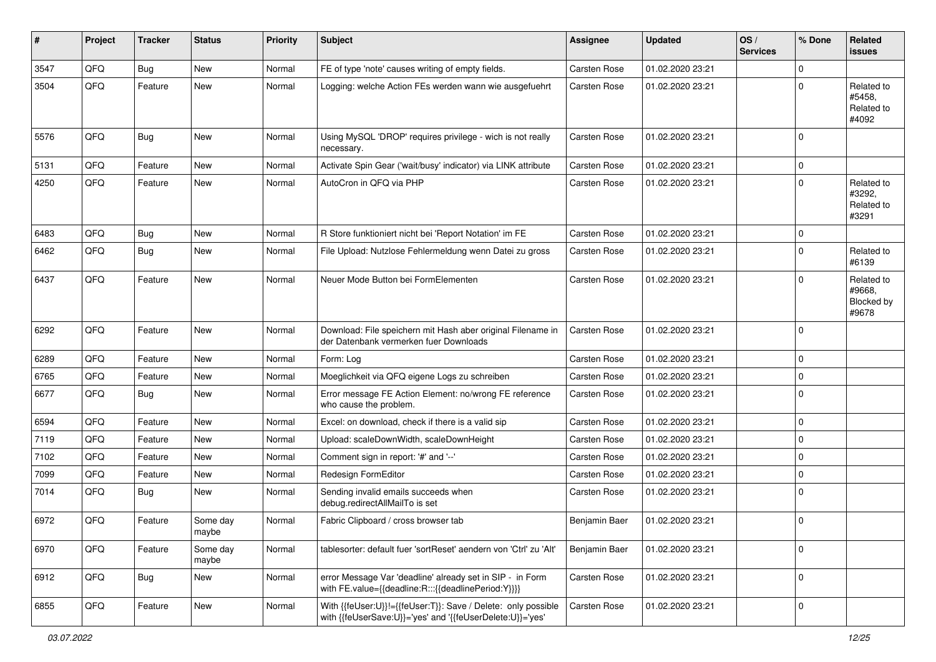| #    | Project | <b>Tracker</b> | <b>Status</b>     | <b>Priority</b> | <b>Subject</b>                                                                                                             | <b>Assignee</b>     | <b>Updated</b>   | OS/<br><b>Services</b> | % Done      | Related<br><b>issues</b>                    |
|------|---------|----------------|-------------------|-----------------|----------------------------------------------------------------------------------------------------------------------------|---------------------|------------------|------------------------|-------------|---------------------------------------------|
| 3547 | QFQ     | Bug            | New               | Normal          | FE of type 'note' causes writing of empty fields.                                                                          | <b>Carsten Rose</b> | 01.02.2020 23:21 |                        | $\Omega$    |                                             |
| 3504 | QFQ     | Feature        | New               | Normal          | Logging: welche Action FEs werden wann wie ausgefuehrt                                                                     | Carsten Rose        | 01.02.2020 23:21 |                        | 0           | Related to<br>#5458,<br>Related to<br>#4092 |
| 5576 | QFQ     | Bug            | New               | Normal          | Using MySQL 'DROP' requires privilege - wich is not really<br>necessary.                                                   | <b>Carsten Rose</b> | 01.02.2020 23:21 |                        | 0           |                                             |
| 5131 | QFQ     | Feature        | New               | Normal          | Activate Spin Gear ('wait/busy' indicator) via LINK attribute                                                              | Carsten Rose        | 01.02.2020 23:21 |                        | 0           |                                             |
| 4250 | QFQ     | Feature        | New               | Normal          | AutoCron in QFQ via PHP                                                                                                    | Carsten Rose        | 01.02.2020 23:21 |                        | $\Omega$    | Related to<br>#3292,<br>Related to<br>#3291 |
| 6483 | QFQ     | Bug            | New               | Normal          | R Store funktioniert nicht bei 'Report Notation' im FE                                                                     | <b>Carsten Rose</b> | 01.02.2020 23:21 |                        | 0           |                                             |
| 6462 | QFQ     | Bug            | New               | Normal          | File Upload: Nutzlose Fehlermeldung wenn Datei zu gross                                                                    | Carsten Rose        | 01.02.2020 23:21 |                        | $\Omega$    | Related to<br>#6139                         |
| 6437 | QFQ     | Feature        | New               | Normal          | Neuer Mode Button bei FormElementen                                                                                        | <b>Carsten Rose</b> | 01.02.2020 23:21 |                        | U           | Related to<br>#9668,<br>Blocked by<br>#9678 |
| 6292 | QFQ     | Feature        | New               | Normal          | Download: File speichern mit Hash aber original Filename in<br>der Datenbank vermerken fuer Downloads                      | <b>Carsten Rose</b> | 01.02.2020 23:21 |                        | $\Omega$    |                                             |
| 6289 | QFQ     | Feature        | New               | Normal          | Form: Log                                                                                                                  | Carsten Rose        | 01.02.2020 23:21 |                        | $\Omega$    |                                             |
| 6765 | QFQ     | Feature        | New               | Normal          | Moeglichkeit via QFQ eigene Logs zu schreiben                                                                              | Carsten Rose        | 01.02.2020 23:21 |                        | 0           |                                             |
| 6677 | QFQ     | Bug            | New               | Normal          | Error message FE Action Element: no/wrong FE reference<br>who cause the problem.                                           | <b>Carsten Rose</b> | 01.02.2020 23:21 |                        | $\Omega$    |                                             |
| 6594 | QFQ     | Feature        | New               | Normal          | Excel: on download, check if there is a valid sip                                                                          | Carsten Rose        | 01.02.2020 23:21 |                        | 0           |                                             |
| 7119 | QFQ     | Feature        | New               | Normal          | Upload: scaleDownWidth, scaleDownHeight                                                                                    | Carsten Rose        | 01.02.2020 23:21 |                        | 0           |                                             |
| 7102 | QFQ     | Feature        | New               | Normal          | Comment sign in report: '#' and '--'                                                                                       | <b>Carsten Rose</b> | 01.02.2020 23:21 |                        | 0           |                                             |
| 7099 | QFQ     | Feature        | New               | Normal          | Redesign FormEditor                                                                                                        | <b>Carsten Rose</b> | 01.02.2020 23:21 |                        | $\mathbf 0$ |                                             |
| 7014 | QFQ     | Bug            | New               | Normal          | Sending invalid emails succeeds when<br>debug.redirectAllMailTo is set                                                     | Carsten Rose        | 01.02.2020 23:21 |                        | $\Omega$    |                                             |
| 6972 | QFQ     | Feature        | Some day<br>maybe | Normal          | Fabric Clipboard / cross browser tab                                                                                       | Benjamin Baer       | 01.02.2020 23:21 |                        | $\mathbf 0$ |                                             |
| 6970 | QFQ     | Feature        | Some day<br>maybe | Normal          | tablesorter: default fuer 'sortReset' aendern von 'Ctrl' zu 'Alt'                                                          | Benjamin Baer       | 01.02.2020 23:21 |                        | $\mathbf 0$ |                                             |
| 6912 | QFQ     | <b>Bug</b>     | New               | Normal          | error Message Var 'deadline' already set in SIP - in Form<br>with FE.value={{deadline:R:::{{deadlinePeriod:Y}}}}           | Carsten Rose        | 01.02.2020 23:21 |                        | $\mathbf 0$ |                                             |
| 6855 | QFQ     | Feature        | New               | Normal          | With {{feUser:U}}!={{feUser:T}}: Save / Delete: only possible<br>with {{feUserSave:U}}='yes' and '{{feUserDelete:U}}='yes' | Carsten Rose        | 01.02.2020 23:21 |                        | 0           |                                             |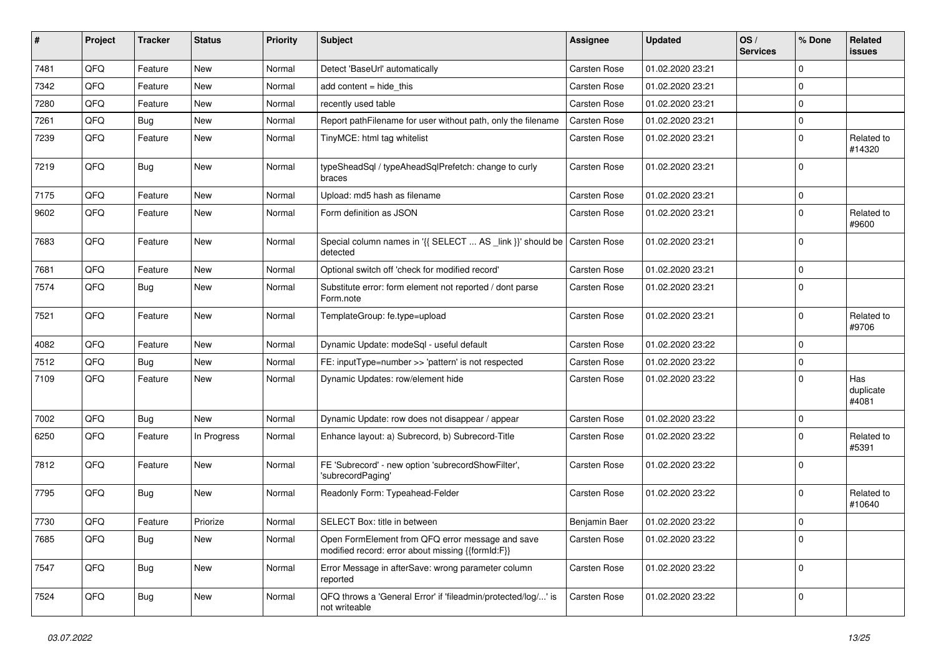| ∦    | Project | <b>Tracker</b> | <b>Status</b> | <b>Priority</b> | <b>Subject</b>                                                                                        | Assignee            | <b>Updated</b>   | OS/<br><b>Services</b> | % Done      | Related<br><b>issues</b>  |
|------|---------|----------------|---------------|-----------------|-------------------------------------------------------------------------------------------------------|---------------------|------------------|------------------------|-------------|---------------------------|
| 7481 | QFQ     | Feature        | <b>New</b>    | Normal          | Detect 'BaseUrl' automatically                                                                        | <b>Carsten Rose</b> | 01.02.2020 23:21 |                        | 0           |                           |
| 7342 | QFQ     | Feature        | New           | Normal          | add content $=$ hide this                                                                             | Carsten Rose        | 01.02.2020 23:21 |                        | $\Omega$    |                           |
| 7280 | QFQ     | Feature        | New           | Normal          | recently used table                                                                                   | <b>Carsten Rose</b> | 01.02.2020 23:21 |                        | $\Omega$    |                           |
| 7261 | QFQ     | <b>Bug</b>     | New           | Normal          | Report pathFilename for user without path, only the filename                                          | <b>Carsten Rose</b> | 01.02.2020 23:21 |                        | 0           |                           |
| 7239 | QFQ     | Feature        | New           | Normal          | TinyMCE: html tag whitelist                                                                           | Carsten Rose        | 01.02.2020 23:21 |                        | 0           | Related to<br>#14320      |
| 7219 | QFQ     | Bug            | New           | Normal          | typeSheadSql / typeAheadSqlPrefetch: change to curly<br>braces                                        | Carsten Rose        | 01.02.2020 23:21 |                        | $\mathbf 0$ |                           |
| 7175 | QFQ     | Feature        | <b>New</b>    | Normal          | Upload: md5 hash as filename                                                                          | <b>Carsten Rose</b> | 01.02.2020 23:21 |                        | $\mathbf 0$ |                           |
| 9602 | QFQ     | Feature        | New           | Normal          | Form definition as JSON                                                                               | Carsten Rose        | 01.02.2020 23:21 |                        | $\Omega$    | Related to<br>#9600       |
| 7683 | QFQ     | Feature        | New           | Normal          | Special column names in '{{ SELECT  AS _link }}' should be Carsten Rose<br>detected                   |                     | 01.02.2020 23:21 |                        | $\mathbf 0$ |                           |
| 7681 | QFQ     | Feature        | New           | Normal          | Optional switch off 'check for modified record'                                                       | Carsten Rose        | 01.02.2020 23:21 |                        | $\mathbf 0$ |                           |
| 7574 | QFQ     | <b>Bug</b>     | New           | Normal          | Substitute error: form element not reported / dont parse<br>Form.note                                 | Carsten Rose        | 01.02.2020 23:21 |                        | $\Omega$    |                           |
| 7521 | QFQ     | Feature        | <b>New</b>    | Normal          | TemplateGroup: fe.type=upload                                                                         | Carsten Rose        | 01.02.2020 23:21 |                        | $\Omega$    | Related to<br>#9706       |
| 4082 | QFQ     | Feature        | New           | Normal          | Dynamic Update: modeSql - useful default                                                              | Carsten Rose        | 01.02.2020 23:22 |                        | 0           |                           |
| 7512 | QFQ     | Bug            | <b>New</b>    | Normal          | FE: inputType=number >> 'pattern' is not respected                                                    | Carsten Rose        | 01.02.2020 23:22 |                        | 0           |                           |
| 7109 | QFQ     | Feature        | New           | Normal          | Dynamic Updates: row/element hide                                                                     | Carsten Rose        | 01.02.2020 23:22 |                        | 0           | Has<br>duplicate<br>#4081 |
| 7002 | QFQ     | <b>Bug</b>     | <b>New</b>    | Normal          | Dynamic Update: row does not disappear / appear                                                       | Carsten Rose        | 01.02.2020 23:22 |                        | 0           |                           |
| 6250 | QFQ     | Feature        | In Progress   | Normal          | Enhance layout: a) Subrecord, b) Subrecord-Title                                                      | <b>Carsten Rose</b> | 01.02.2020 23:22 |                        | $\Omega$    | Related to<br>#5391       |
| 7812 | QFQ     | Feature        | New           | Normal          | FE 'Subrecord' - new option 'subrecordShowFilter',<br>'subrecordPaging'                               | Carsten Rose        | 01.02.2020 23:22 |                        | $\Omega$    |                           |
| 7795 | QFQ     | Bug            | New           | Normal          | Readonly Form: Typeahead-Felder                                                                       | Carsten Rose        | 01.02.2020 23:22 |                        | 0           | Related to<br>#10640      |
| 7730 | QFQ     | Feature        | Priorize      | Normal          | SELECT Box: title in between                                                                          | Benjamin Baer       | 01.02.2020 23:22 |                        | 0           |                           |
| 7685 | QFQ     | <b>Bug</b>     | New           | Normal          | Open FormElement from QFQ error message and save<br>modified record: error about missing {{formId:F}} | Carsten Rose        | 01.02.2020 23:22 |                        | 0           |                           |
| 7547 | QFG     | <b>Bug</b>     | New           | Normal          | Error Message in afterSave: wrong parameter column<br>reported                                        | Carsten Rose        | 01.02.2020 23:22 |                        | $\mathbf 0$ |                           |
| 7524 | QFQ     | <b>Bug</b>     | New           | Normal          | QFQ throws a 'General Error' if 'fileadmin/protected/log/' is<br>not writeable                        | Carsten Rose        | 01.02.2020 23:22 |                        | $\mathbf 0$ |                           |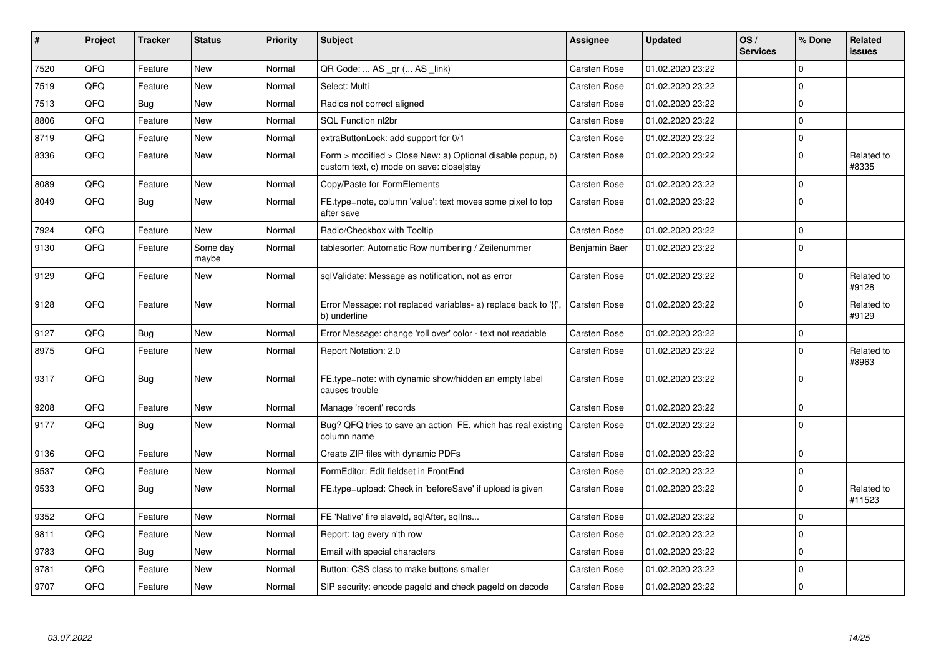| $\vert$ # | Project | <b>Tracker</b> | <b>Status</b>     | <b>Priority</b> | <b>Subject</b>                                                                                         | Assignee            | <b>Updated</b>   | OS/<br><b>Services</b> | % Done      | Related<br>issues    |
|-----------|---------|----------------|-------------------|-----------------|--------------------------------------------------------------------------------------------------------|---------------------|------------------|------------------------|-------------|----------------------|
| 7520      | QFQ     | Feature        | <b>New</b>        | Normal          | QR Code:  AS _qr ( AS _link)                                                                           | Carsten Rose        | 01.02.2020 23:22 |                        | $\Omega$    |                      |
| 7519      | QFQ     | Feature        | <b>New</b>        | Normal          | Select: Multi                                                                                          | Carsten Rose        | 01.02.2020 23:22 |                        | $\Omega$    |                      |
| 7513      | QFQ     | Bug            | New               | Normal          | Radios not correct aligned                                                                             | Carsten Rose        | 01.02.2020 23:22 |                        | $\mathbf 0$ |                      |
| 8806      | QFQ     | Feature        | New               | Normal          | SQL Function nl2br                                                                                     | Carsten Rose        | 01.02.2020 23:22 |                        | $\Omega$    |                      |
| 8719      | QFQ     | Feature        | New               | Normal          | extraButtonLock: add support for 0/1                                                                   | Carsten Rose        | 01.02.2020 23:22 |                        | $\Omega$    |                      |
| 8336      | QFQ     | Feature        | <b>New</b>        | Normal          | Form > modified > Close New: a) Optional disable popup, b)<br>custom text, c) mode on save: close stay | Carsten Rose        | 01.02.2020 23:22 |                        | $\Omega$    | Related to<br>#8335  |
| 8089      | QFQ     | Feature        | <b>New</b>        | Normal          | Copy/Paste for FormElements                                                                            | Carsten Rose        | 01.02.2020 23:22 |                        | $\Omega$    |                      |
| 8049      | QFQ     | Bug            | New               | Normal          | FE.type=note, column 'value': text moves some pixel to top<br>after save                               | Carsten Rose        | 01.02.2020 23:22 |                        | $\Omega$    |                      |
| 7924      | QFQ     | Feature        | New               | Normal          | Radio/Checkbox with Tooltip                                                                            | Carsten Rose        | 01.02.2020 23:22 |                        | $\Omega$    |                      |
| 9130      | QFQ     | Feature        | Some day<br>maybe | Normal          | tablesorter: Automatic Row numbering / Zeilenummer                                                     | Benjamin Baer       | 01.02.2020 23:22 |                        | $\Omega$    |                      |
| 9129      | QFQ     | Feature        | New               | Normal          | sqlValidate: Message as notification, not as error                                                     | Carsten Rose        | 01.02.2020 23:22 |                        | $\mathbf 0$ | Related to<br>#9128  |
| 9128      | QFQ     | Feature        | New               | Normal          | Error Message: not replaced variables- a) replace back to '{'<br>b) underline                          | Carsten Rose        | 01.02.2020 23:22 |                        | $\mathbf 0$ | Related to<br>#9129  |
| 9127      | QFQ     | Bug            | New               | Normal          | Error Message: change 'roll over' color - text not readable                                            | Carsten Rose        | 01.02.2020 23:22 |                        | $\mathbf 0$ |                      |
| 8975      | QFQ     | Feature        | New               | Normal          | Report Notation: 2.0                                                                                   | Carsten Rose        | 01.02.2020 23:22 |                        | $\Omega$    | Related to<br>#8963  |
| 9317      | QFQ     | Bug            | New               | Normal          | FE.type=note: with dynamic show/hidden an empty label<br>causes trouble                                | Carsten Rose        | 01.02.2020 23:22 |                        | $\Omega$    |                      |
| 9208      | QFQ     | Feature        | New               | Normal          | Manage 'recent' records                                                                                | Carsten Rose        | 01.02.2020 23:22 |                        | $\mathbf 0$ |                      |
| 9177      | QFQ     | Bug            | New               | Normal          | Bug? QFQ tries to save an action FE, which has real existing<br>column name                            | <b>Carsten Rose</b> | 01.02.2020 23:22 |                        | l 0         |                      |
| 9136      | QFQ     | Feature        | <b>New</b>        | Normal          | Create ZIP files with dynamic PDFs                                                                     | Carsten Rose        | 01.02.2020 23:22 |                        | $\mathbf 0$ |                      |
| 9537      | QFQ     | Feature        | <b>New</b>        | Normal          | FormEditor: Edit fieldset in FrontEnd                                                                  | Carsten Rose        | 01.02.2020 23:22 |                        | 0           |                      |
| 9533      | QFQ     | Bug            | New               | Normal          | FE.type=upload: Check in 'beforeSave' if upload is given                                               | Carsten Rose        | 01.02.2020 23:22 |                        | $\Omega$    | Related to<br>#11523 |
| 9352      | QFQ     | Feature        | <b>New</b>        | Normal          | FE 'Native' fire slaveld, sqlAfter, sqlIns                                                             | Carsten Rose        | 01.02.2020 23:22 |                        | $\mathbf 0$ |                      |
| 9811      | QFQ     | Feature        | New               | Normal          | Report: tag every n'th row                                                                             | Carsten Rose        | 01.02.2020 23:22 |                        | $\Omega$    |                      |
| 9783      | QFQ     | Bug            | New               | Normal          | Email with special characters                                                                          | Carsten Rose        | 01.02.2020 23:22 |                        | $\mathbf 0$ |                      |
| 9781      | QFQ     | Feature        | New               | Normal          | Button: CSS class to make buttons smaller                                                              | Carsten Rose        | 01.02.2020 23:22 |                        | $\mathbf 0$ |                      |
| 9707      | QFQ     | Feature        | New               | Normal          | SIP security: encode pageld and check pageld on decode                                                 | Carsten Rose        | 01.02.2020 23:22 |                        | $\Omega$    |                      |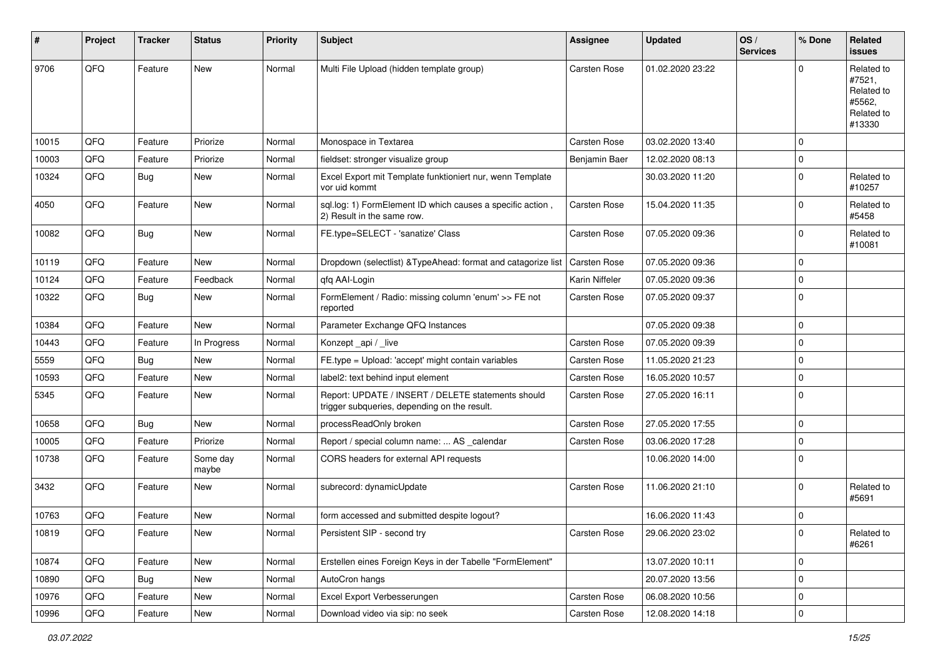| #     | Project | <b>Tracker</b> | <b>Status</b>     | <b>Priority</b> | <b>Subject</b>                                                                                     | Assignee            | <b>Updated</b>   | OS/<br><b>Services</b> | % Done      | Related<br>issues                                                    |
|-------|---------|----------------|-------------------|-----------------|----------------------------------------------------------------------------------------------------|---------------------|------------------|------------------------|-------------|----------------------------------------------------------------------|
| 9706  | QFQ     | Feature        | New               | Normal          | Multi File Upload (hidden template group)                                                          | <b>Carsten Rose</b> | 01.02.2020 23:22 |                        | U           | Related to<br>#7521,<br>Related to<br>#5562,<br>Related to<br>#13330 |
| 10015 | QFQ     | Feature        | Priorize          | Normal          | Monospace in Textarea                                                                              | Carsten Rose        | 03.02.2020 13:40 |                        | 0           |                                                                      |
| 10003 | QFQ     | Feature        | Priorize          | Normal          | fieldset: stronger visualize group                                                                 | Benjamin Baer       | 12.02.2020 08:13 |                        | 0           |                                                                      |
| 10324 | QFQ     | Bug            | New               | Normal          | Excel Export mit Template funktioniert nur, wenn Template<br>vor uid kommt                         |                     | 30.03.2020 11:20 |                        | $\Omega$    | Related to<br>#10257                                                 |
| 4050  | QFQ     | Feature        | New               | Normal          | sql.log: 1) FormElement ID which causes a specific action,<br>2) Result in the same row.           | <b>Carsten Rose</b> | 15.04.2020 11:35 |                        | 0           | Related to<br>#5458                                                  |
| 10082 | QFQ     | Bug            | New               | Normal          | FE.type=SELECT - 'sanatize' Class                                                                  | Carsten Rose        | 07.05.2020 09:36 |                        | $\Omega$    | Related to<br>#10081                                                 |
| 10119 | QFQ     | Feature        | New               | Normal          | Dropdown (selectlist) & TypeAhead: format and catagorize list                                      | <b>Carsten Rose</b> | 07.05.2020 09:36 |                        | $\mathbf 0$ |                                                                      |
| 10124 | QFQ     | Feature        | Feedback          | Normal          | qfq AAI-Login                                                                                      | Karin Niffeler      | 07.05.2020 09:36 |                        | $\Omega$    |                                                                      |
| 10322 | QFQ     | Bug            | New               | Normal          | FormElement / Radio: missing column 'enum' >> FE not<br>reported                                   | Carsten Rose        | 07.05.2020 09:37 |                        | $\mathbf 0$ |                                                                      |
| 10384 | QFQ     | Feature        | New               | Normal          | Parameter Exchange QFQ Instances                                                                   |                     | 07.05.2020 09:38 |                        | 0           |                                                                      |
| 10443 | QFQ     | Feature        | In Progress       | Normal          | Konzept_api / _live                                                                                | <b>Carsten Rose</b> | 07.05.2020 09:39 |                        | $\Omega$    |                                                                      |
| 5559  | QFQ     | Bug            | New               | Normal          | FE.type = Upload: 'accept' might contain variables                                                 | Carsten Rose        | 11.05.2020 21:23 |                        | $\mathbf 0$ |                                                                      |
| 10593 | QFQ     | Feature        | New               | Normal          | label2: text behind input element                                                                  | <b>Carsten Rose</b> | 16.05.2020 10:57 |                        | $\Omega$    |                                                                      |
| 5345  | QFQ     | Feature        | New               | Normal          | Report: UPDATE / INSERT / DELETE statements should<br>trigger subqueries, depending on the result. | Carsten Rose        | 27.05.2020 16:11 |                        | $\Omega$    |                                                                      |
| 10658 | QFQ     | Bug            | New               | Normal          | processReadOnly broken                                                                             | Carsten Rose        | 27.05.2020 17:55 |                        | $\mathbf 0$ |                                                                      |
| 10005 | QFQ     | Feature        | Priorize          | Normal          | Report / special column name:  AS _calendar                                                        | <b>Carsten Rose</b> | 03.06.2020 17:28 |                        | 0           |                                                                      |
| 10738 | QFQ     | Feature        | Some day<br>maybe | Normal          | CORS headers for external API requests                                                             |                     | 10.06.2020 14:00 |                        | $\Omega$    |                                                                      |
| 3432  | QFQ     | Feature        | New               | Normal          | subrecord: dynamicUpdate                                                                           | <b>Carsten Rose</b> | 11.06.2020 21:10 |                        | 0           | Related to<br>#5691                                                  |
| 10763 | QFQ     | Feature        | New               | Normal          | form accessed and submitted despite logout?                                                        |                     | 16.06.2020 11:43 |                        | $\Omega$    |                                                                      |
| 10819 | QFQ     | Feature        | New               | Normal          | Persistent SIP - second try                                                                        | Carsten Rose        | 29.06.2020 23:02 |                        | 0           | Related to<br>#6261                                                  |
| 10874 | QFQ     | Feature        | New               | Normal          | Erstellen eines Foreign Keys in der Tabelle "FormElement"                                          |                     | 13.07.2020 10:11 |                        | 0           |                                                                      |
| 10890 | QFQ     | <b>Bug</b>     | New               | Normal          | AutoCron hangs                                                                                     |                     | 20.07.2020 13:56 |                        | $\mathbf 0$ |                                                                      |
| 10976 | QFQ     | Feature        | New               | Normal          | Excel Export Verbesserungen                                                                        | Carsten Rose        | 06.08.2020 10:56 |                        | 0           |                                                                      |
| 10996 | QFQ     | Feature        | New               | Normal          | Download video via sip: no seek                                                                    | Carsten Rose        | 12.08.2020 14:18 |                        | $\mathbf 0$ |                                                                      |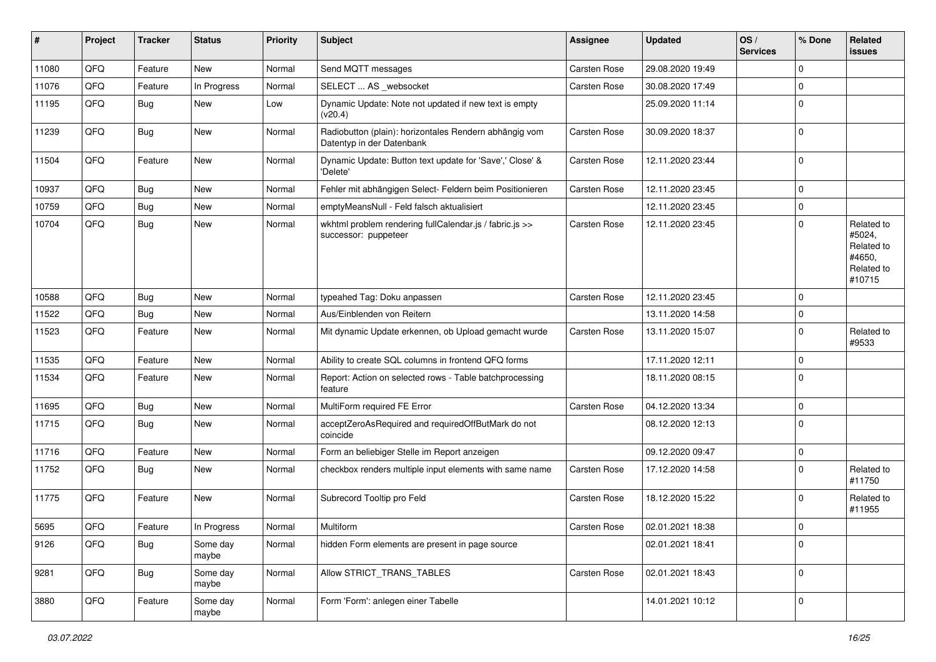| #     | Project | <b>Tracker</b> | <b>Status</b>     | <b>Priority</b> | <b>Subject</b>                                                                      | Assignee            | <b>Updated</b>   | OS/<br><b>Services</b> | % Done      | Related<br>issues                                                    |
|-------|---------|----------------|-------------------|-----------------|-------------------------------------------------------------------------------------|---------------------|------------------|------------------------|-------------|----------------------------------------------------------------------|
| 11080 | QFQ     | Feature        | <b>New</b>        | Normal          | Send MQTT messages                                                                  | Carsten Rose        | 29.08.2020 19:49 |                        | 0           |                                                                      |
| 11076 | QFQ     | Feature        | In Progress       | Normal          | SELECT  AS _websocket                                                               | Carsten Rose        | 30.08.2020 17:49 |                        | $\mathbf 0$ |                                                                      |
| 11195 | QFQ     | <b>Bug</b>     | New               | Low             | Dynamic Update: Note not updated if new text is empty<br>(v20.4)                    |                     | 25.09.2020 11:14 |                        | $\mathbf 0$ |                                                                      |
| 11239 | QFQ     | Bug            | New               | Normal          | Radiobutton (plain): horizontales Rendern abhängig vom<br>Datentyp in der Datenbank | Carsten Rose        | 30.09.2020 18:37 |                        | $\Omega$    |                                                                      |
| 11504 | QFQ     | Feature        | New               | Normal          | Dynamic Update: Button text update for 'Save',' Close' &<br>'Delete'                | Carsten Rose        | 12.11.2020 23:44 |                        | $\mathbf 0$ |                                                                      |
| 10937 | QFQ     | Bug            | <b>New</b>        | Normal          | Fehler mit abhängigen Select- Feldern beim Positionieren                            | Carsten Rose        | 12.11.2020 23:45 |                        | $\mathbf 0$ |                                                                      |
| 10759 | QFQ     | Bug            | New               | Normal          | emptyMeansNull - Feld falsch aktualisiert                                           |                     | 12.11.2020 23:45 |                        | $\mathbf 0$ |                                                                      |
| 10704 | QFQ     | Bug            | New               | Normal          | wkhtml problem rendering fullCalendar.js / fabric.js >><br>successor: puppeteer     | Carsten Rose        | 12.11.2020 23:45 |                        | $\mathbf 0$ | Related to<br>#5024,<br>Related to<br>#4650,<br>Related to<br>#10715 |
| 10588 | QFQ     | Bug            | <b>New</b>        | Normal          | typeahed Tag: Doku anpassen                                                         | Carsten Rose        | 12.11.2020 23:45 |                        | $\mathbf 0$ |                                                                      |
| 11522 | QFQ     | Bug            | New               | Normal          | Aus/Einblenden von Reitern                                                          |                     | 13.11.2020 14:58 |                        | $\mathbf 0$ |                                                                      |
| 11523 | QFQ     | Feature        | New               | Normal          | Mit dynamic Update erkennen, ob Upload gemacht wurde                                | <b>Carsten Rose</b> | 13.11.2020 15:07 |                        | $\mathbf 0$ | Related to<br>#9533                                                  |
| 11535 | QFQ     | Feature        | <b>New</b>        | Normal          | Ability to create SQL columns in frontend QFQ forms                                 |                     | 17.11.2020 12:11 |                        | $\mathbf 0$ |                                                                      |
| 11534 | QFQ     | Feature        | New               | Normal          | Report: Action on selected rows - Table batchprocessing<br>feature                  |                     | 18.11.2020 08:15 |                        | $\mathbf 0$ |                                                                      |
| 11695 | QFQ     | Bug            | New               | Normal          | MultiForm required FE Error                                                         | Carsten Rose        | 04.12.2020 13:34 |                        | $\mathbf 0$ |                                                                      |
| 11715 | QFQ     | <b>Bug</b>     | <b>New</b>        | Normal          | acceptZeroAsRequired and requiredOffButMark do not<br>coincide                      |                     | 08.12.2020 12:13 |                        | $\Omega$    |                                                                      |
| 11716 | QFQ     | Feature        | <b>New</b>        | Normal          | Form an beliebiger Stelle im Report anzeigen                                        |                     | 09.12.2020 09:47 |                        | $\mathbf 0$ |                                                                      |
| 11752 | QFQ     | <b>Bug</b>     | New               | Normal          | checkbox renders multiple input elements with same name                             | Carsten Rose        | 17.12.2020 14:58 |                        | $\mathbf 0$ | Related to<br>#11750                                                 |
| 11775 | QFQ     | Feature        | <b>New</b>        | Normal          | Subrecord Tooltip pro Feld                                                          | Carsten Rose        | 18.12.2020 15:22 |                        | $\mathbf 0$ | Related to<br>#11955                                                 |
| 5695  | QFQ     | Feature        | In Progress       | Normal          | Multiform                                                                           | Carsten Rose        | 02.01.2021 18:38 |                        | l 0         |                                                                      |
| 9126  | QFQ     | <b>Bug</b>     | Some day<br>maybe | Normal          | hidden Form elements are present in page source                                     |                     | 02.01.2021 18:41 |                        | $\mathbf 0$ |                                                                      |
| 9281  | QFQ     | <b>Bug</b>     | Some day<br>maybe | Normal          | Allow STRICT_TRANS_TABLES                                                           | Carsten Rose        | 02.01.2021 18:43 |                        | $\mathbf 0$ |                                                                      |
| 3880  | QFQ     | Feature        | Some day<br>maybe | Normal          | Form 'Form': anlegen einer Tabelle                                                  |                     | 14.01.2021 10:12 |                        | $\mathbf 0$ |                                                                      |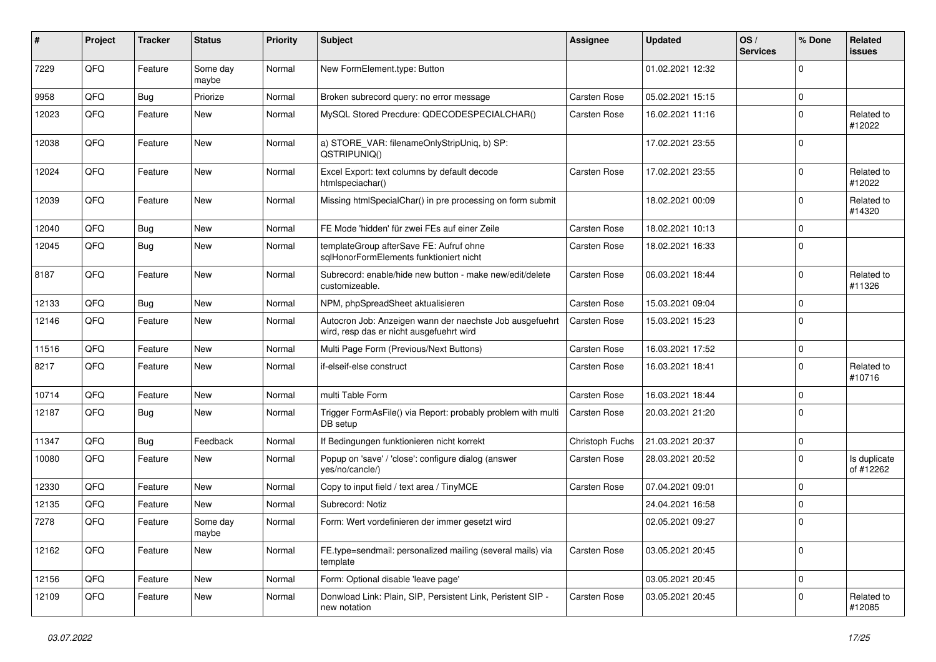| #     | Project | <b>Tracker</b> | <b>Status</b>     | <b>Priority</b> | Subject                                                                                              | <b>Assignee</b> | <b>Updated</b>   | OS/<br><b>Services</b> | % Done      | Related<br>issues         |
|-------|---------|----------------|-------------------|-----------------|------------------------------------------------------------------------------------------------------|-----------------|------------------|------------------------|-------------|---------------------------|
| 7229  | QFQ     | Feature        | Some day<br>maybe | Normal          | New FormElement.type: Button                                                                         |                 | 01.02.2021 12:32 |                        | $\Omega$    |                           |
| 9958  | QFQ     | <b>Bug</b>     | Priorize          | Normal          | Broken subrecord query: no error message                                                             | Carsten Rose    | 05.02.2021 15:15 |                        | 0           |                           |
| 12023 | QFQ     | Feature        | <b>New</b>        | Normal          | MySQL Stored Precdure: QDECODESPECIALCHAR()                                                          | Carsten Rose    | 16.02.2021 11:16 |                        | $\Omega$    | Related to<br>#12022      |
| 12038 | QFQ     | Feature        | <b>New</b>        | Normal          | a) STORE_VAR: filenameOnlyStripUniq, b) SP:<br>QSTRIPUNIQ()                                          |                 | 17.02.2021 23:55 |                        | $\Omega$    |                           |
| 12024 | QFQ     | Feature        | <b>New</b>        | Normal          | Excel Export: text columns by default decode<br>htmlspeciachar()                                     | Carsten Rose    | 17.02.2021 23:55 |                        | $\Omega$    | Related to<br>#12022      |
| 12039 | QFQ     | Feature        | <b>New</b>        | Normal          | Missing htmlSpecialChar() in pre processing on form submit                                           |                 | 18.02.2021 00:09 |                        | $\Omega$    | Related to<br>#14320      |
| 12040 | QFQ     | Bug            | <b>New</b>        | Normal          | FE Mode 'hidden' für zwei FEs auf einer Zeile                                                        | Carsten Rose    | 18.02.2021 10:13 |                        | $\mathbf 0$ |                           |
| 12045 | QFQ     | <b>Bug</b>     | <b>New</b>        | Normal          | templateGroup afterSave FE: Aufruf ohne<br>sqlHonorFormElements funktioniert nicht                   | Carsten Rose    | 18.02.2021 16:33 |                        | $\Omega$    |                           |
| 8187  | QFQ     | Feature        | <b>New</b>        | Normal          | Subrecord: enable/hide new button - make new/edit/delete<br>customizeable.                           | Carsten Rose    | 06.03.2021 18:44 |                        | $\Omega$    | Related to<br>#11326      |
| 12133 | QFQ     | Bug            | <b>New</b>        | Normal          | NPM, phpSpreadSheet aktualisieren                                                                    | Carsten Rose    | 15.03.2021 09:04 |                        | $\mathbf 0$ |                           |
| 12146 | QFQ     | Feature        | <b>New</b>        | Normal          | Autocron Job: Anzeigen wann der naechste Job ausgefuehrt<br>wird, resp das er nicht ausgefuehrt wird | Carsten Rose    | 15.03.2021 15:23 |                        | $\Omega$    |                           |
| 11516 | QFQ     | Feature        | <b>New</b>        | Normal          | Multi Page Form (Previous/Next Buttons)                                                              | Carsten Rose    | 16.03.2021 17:52 |                        | $\mathbf 0$ |                           |
| 8217  | QFQ     | Feature        | New               | Normal          | if-elseif-else construct                                                                             | Carsten Rose    | 16.03.2021 18:41 |                        | $\Omega$    | Related to<br>#10716      |
| 10714 | QFQ     | Feature        | New               | Normal          | multi Table Form                                                                                     | Carsten Rose    | 16.03.2021 18:44 |                        | $\mathbf 0$ |                           |
| 12187 | QFQ     | <b>Bug</b>     | <b>New</b>        | Normal          | Trigger FormAsFile() via Report: probably problem with multi<br>DB setup                             | Carsten Rose    | 20.03.2021 21:20 |                        | $\Omega$    |                           |
| 11347 | QFQ     | <b>Bug</b>     | Feedback          | Normal          | If Bedingungen funktionieren nicht korrekt                                                           | Christoph Fuchs | 21.03.2021 20:37 |                        | $\mathbf 0$ |                           |
| 10080 | QFQ     | Feature        | <b>New</b>        | Normal          | Popup on 'save' / 'close': configure dialog (answer<br>yes/no/cancle/)                               | Carsten Rose    | 28.03.2021 20:52 |                        | $\Omega$    | Is duplicate<br>of #12262 |
| 12330 | QFQ     | Feature        | <b>New</b>        | Normal          | Copy to input field / text area / TinyMCE                                                            | Carsten Rose    | 07.04.2021 09:01 |                        | $\mathbf 0$ |                           |
| 12135 | QFQ     | Feature        | New               | Normal          | Subrecord: Notiz                                                                                     |                 | 24.04.2021 16:58 |                        | $\mathbf 0$ |                           |
| 7278  | QFQ     | Feature        | Some day<br>maybe | Normal          | Form: Wert vordefinieren der immer gesetzt wird                                                      |                 | 02.05.2021 09:27 |                        | $\Omega$    |                           |
| 12162 | QFQ     | Feature        | New               | Normal          | FE.type=sendmail: personalized mailing (several mails) via<br>template                               | Carsten Rose    | 03.05.2021 20:45 |                        | $\mathbf 0$ |                           |
| 12156 | QFQ     | Feature        | <b>New</b>        | Normal          | Form: Optional disable 'leave page'                                                                  |                 | 03.05.2021 20:45 |                        | $\mathbf 0$ |                           |
| 12109 | QFQ     | Feature        | New               | Normal          | Donwload Link: Plain, SIP, Persistent Link, Peristent SIP -<br>new notation                          | Carsten Rose    | 03.05.2021 20:45 |                        | 0           | Related to<br>#12085      |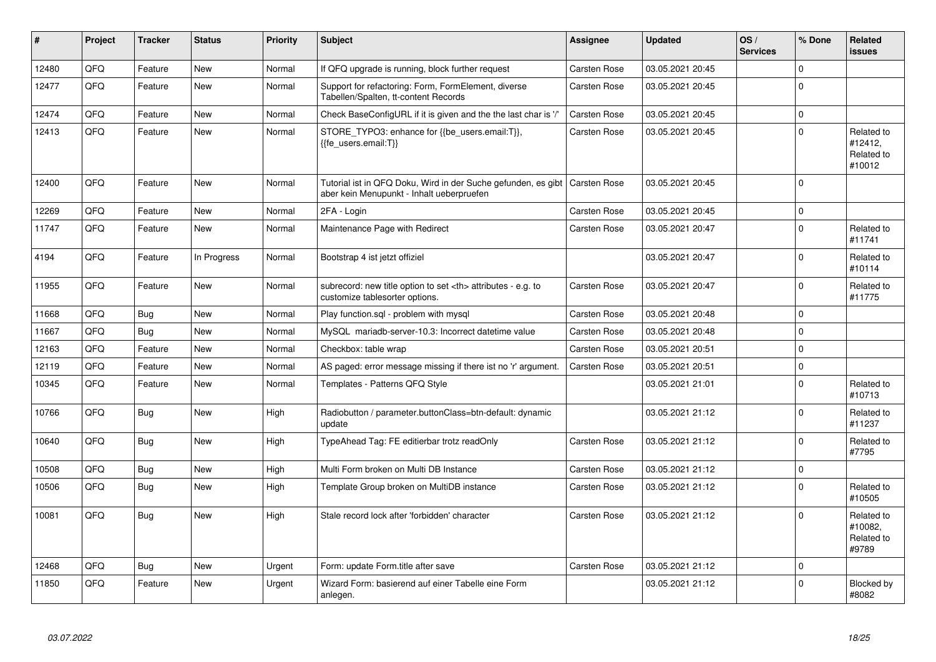| #     | Project | <b>Tracker</b> | <b>Status</b> | <b>Priority</b> | Subject                                                                                                    | Assignee                                               | <b>Updated</b>   | OS/<br><b>Services</b> | % Done      | Related<br><b>issues</b>                      |                      |
|-------|---------|----------------|---------------|-----------------|------------------------------------------------------------------------------------------------------------|--------------------------------------------------------|------------------|------------------------|-------------|-----------------------------------------------|----------------------|
| 12480 | QFQ     | Feature        | <b>New</b>    | Normal          | If QFQ upgrade is running, block further request                                                           | Carsten Rose                                           | 03.05.2021 20:45 |                        | $\Omega$    |                                               |                      |
| 12477 | QFQ     | Feature        | New           | Normal          | Support for refactoring: Form, FormElement, diverse<br>Tabellen/Spalten, tt-content Records                | Carsten Rose                                           | 03.05.2021 20:45 |                        | $\Omega$    |                                               |                      |
| 12474 | QFQ     | Feature        | <b>New</b>    | Normal          | Check BaseConfigURL if it is given and the the last char is '/'                                            | Carsten Rose                                           | 03.05.2021 20:45 |                        | $\Omega$    |                                               |                      |
| 12413 | QFQ     | Feature        | New           | Normal          | STORE_TYPO3: enhance for {{be_users.email:T}},<br>{{fe users.email:T}}                                     | Carsten Rose                                           | 03.05.2021 20:45 |                        | $\Omega$    | Related to<br>#12412,<br>Related to<br>#10012 |                      |
| 12400 | QFQ     | Feature        | <b>New</b>    | Normal          | Tutorial ist in QFQ Doku, Wird in der Suche gefunden, es gibt<br>aber kein Menupunkt - Inhalt ueberpruefen | <b>Carsten Rose</b>                                    | 03.05.2021 20:45 |                        | $\Omega$    |                                               |                      |
| 12269 | QFQ     | Feature        | <b>New</b>    | Normal          | 2FA - Login                                                                                                | Carsten Rose                                           | 03.05.2021 20:45 |                        | $\Omega$    |                                               |                      |
| 11747 | QFQ     | Feature        | New           | Normal          | Maintenance Page with Redirect                                                                             | Carsten Rose                                           | 03.05.2021 20:47 |                        | $\Omega$    | Related to<br>#11741                          |                      |
| 4194  | QFQ     | Feature        | In Progress   | Normal          | Bootstrap 4 ist jetzt offiziel                                                                             |                                                        | 03.05.2021 20:47 |                        | 0           | Related to<br>#10114                          |                      |
| 11955 | QFQ     | Feature        | New           | Normal          | subrecord: new title option to set <th> attributes - e.g. to<br/>customize tablesorter options.</th>       | attributes - e.g. to<br>customize tablesorter options. | Carsten Rose     | 03.05.2021 20:47       |             | $\Omega$                                      | Related to<br>#11775 |
| 11668 | QFQ     | Bug            | New           | Normal          | Play function.sql - problem with mysql                                                                     | Carsten Rose                                           | 03.05.2021 20:48 |                        | 0           |                                               |                      |
| 11667 | QFQ     | Bug            | New           | Normal          | MySQL mariadb-server-10.3: Incorrect datetime value                                                        | Carsten Rose                                           | 03.05.2021 20:48 |                        | $\Omega$    |                                               |                      |
| 12163 | QFQ     | Feature        | New           | Normal          | Checkbox: table wrap                                                                                       | Carsten Rose                                           | 03.05.2021 20:51 |                        | $\Omega$    |                                               |                      |
| 12119 | QFQ     | Feature        | <b>New</b>    | Normal          | AS paged: error message missing if there ist no 'r' argument.                                              | Carsten Rose                                           | 03.05.2021 20:51 |                        | $\Omega$    |                                               |                      |
| 10345 | QFQ     | Feature        | <b>New</b>    | Normal          | Templates - Patterns QFQ Style                                                                             |                                                        | 03.05.2021 21:01 |                        | $\Omega$    | Related to<br>#10713                          |                      |
| 10766 | QFQ     | Bug            | <b>New</b>    | High            | Radiobutton / parameter.buttonClass=btn-default: dynamic<br>update                                         |                                                        | 03.05.2021 21:12 |                        | $\Omega$    | Related to<br>#11237                          |                      |
| 10640 | QFQ     | <b>Bug</b>     | New           | High            | TypeAhead Tag: FE editierbar trotz readOnly                                                                | Carsten Rose                                           | 03.05.2021 21:12 |                        | $\Omega$    | Related to<br>#7795                           |                      |
| 10508 | QFQ     | Bug            | <b>New</b>    | High            | Multi Form broken on Multi DB Instance                                                                     | <b>Carsten Rose</b>                                    | 03.05.2021 21:12 |                        | $\mathbf 0$ |                                               |                      |
| 10506 | QFQ     | <b>Bug</b>     | New           | High            | Template Group broken on MultiDB instance                                                                  | Carsten Rose                                           | 03.05.2021 21:12 |                        | 0           | Related to<br>#10505                          |                      |
| 10081 | QFQ     | Bug            | New           | High            | Stale record lock after 'forbidden' character                                                              | Carsten Rose                                           | 03.05.2021 21:12 |                        | $\Omega$    | Related to<br>#10082.<br>Related to<br>#9789  |                      |
| 12468 | QFQ     | Bug            | <b>New</b>    | Urgent          | Form: update Form.title after save                                                                         | Carsten Rose                                           | 03.05.2021 21:12 |                        | $\Omega$    |                                               |                      |
| 11850 | QFQ     | Feature        | New           | Urgent          | Wizard Form: basierend auf einer Tabelle eine Form<br>anlegen.                                             |                                                        | 03.05.2021 21:12 |                        | $\Omega$    | Blocked by<br>#8082                           |                      |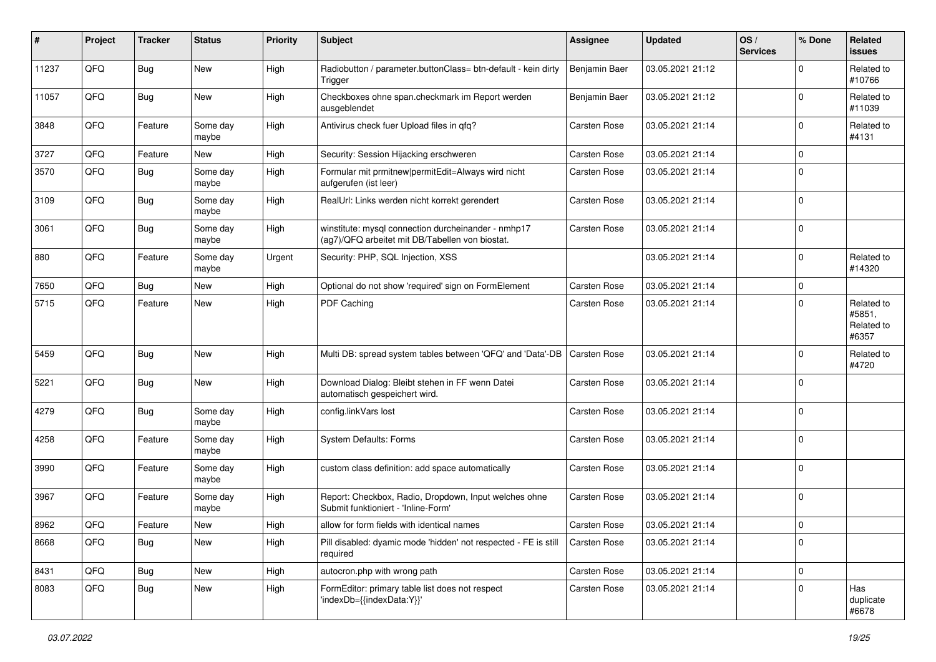| ∦     | Project | <b>Tracker</b> | <b>Status</b>     | <b>Priority</b> | <b>Subject</b>                                                                                         | <b>Assignee</b>     | <b>Updated</b>   | OS/<br><b>Services</b> | % Done      | Related<br>issues                           |
|-------|---------|----------------|-------------------|-----------------|--------------------------------------------------------------------------------------------------------|---------------------|------------------|------------------------|-------------|---------------------------------------------|
| 11237 | QFQ     | <b>Bug</b>     | New               | High            | Radiobutton / parameter.buttonClass= btn-default - kein dirty<br>Trigger                               | Benjamin Baer       | 03.05.2021 21:12 |                        | $\Omega$    | Related to<br>#10766                        |
| 11057 | QFQ     | Bug            | New               | High            | Checkboxes ohne span.checkmark im Report werden<br>ausgeblendet                                        | Benjamin Baer       | 03.05.2021 21:12 |                        | $\Omega$    | Related to<br>#11039                        |
| 3848  | QFQ     | Feature        | Some day<br>maybe | High            | Antivirus check fuer Upload files in qfq?                                                              | Carsten Rose        | 03.05.2021 21:14 |                        | $\Omega$    | Related to<br>#4131                         |
| 3727  | QFQ     | Feature        | New               | High            | Security: Session Hijacking erschweren                                                                 | <b>Carsten Rose</b> | 03.05.2021 21:14 |                        | $\mathbf 0$ |                                             |
| 3570  | QFQ     | <b>Bug</b>     | Some day<br>maybe | High            | Formular mit prmitnew permitEdit=Always wird nicht<br>aufgerufen (ist leer)                            | Carsten Rose        | 03.05.2021 21:14 |                        | $\Omega$    |                                             |
| 3109  | QFQ     | Bug            | Some day<br>maybe | High            | RealUrl: Links werden nicht korrekt gerendert                                                          | <b>Carsten Rose</b> | 03.05.2021 21:14 |                        | 0           |                                             |
| 3061  | QFQ     | Bug            | Some day<br>maybe | High            | winstitute: mysql connection durcheinander - nmhp17<br>(ag7)/QFQ arbeitet mit DB/Tabellen von biostat. | Carsten Rose        | 03.05.2021 21:14 |                        | $\mathbf 0$ |                                             |
| 880   | QFQ     | Feature        | Some day<br>maybe | Urgent          | Security: PHP, SQL Injection, XSS                                                                      |                     | 03.05.2021 21:14 |                        | $\Omega$    | Related to<br>#14320                        |
| 7650  | QFQ     | <b>Bug</b>     | New               | High            | Optional do not show 'required' sign on FormElement                                                    | Carsten Rose        | 03.05.2021 21:14 |                        | $\mathbf 0$ |                                             |
| 5715  | QFQ     | Feature        | New               | High            | PDF Caching                                                                                            | Carsten Rose        | 03.05.2021 21:14 |                        | $\Omega$    | Related to<br>#5851,<br>Related to<br>#6357 |
| 5459  | QFQ     | <b>Bug</b>     | New               | High            | Multi DB: spread system tables between 'QFQ' and 'Data'-DB                                             | <b>Carsten Rose</b> | 03.05.2021 21:14 |                        | $\Omega$    | Related to<br>#4720                         |
| 5221  | QFQ     | <b>Bug</b>     | <b>New</b>        | High            | Download Dialog: Bleibt stehen in FF wenn Datei<br>automatisch gespeichert wird.                       | Carsten Rose        | 03.05.2021 21:14 |                        | $\Omega$    |                                             |
| 4279  | QFQ     | <b>Bug</b>     | Some day<br>maybe | High            | config.linkVars lost                                                                                   | Carsten Rose        | 03.05.2021 21:14 |                        | $\Omega$    |                                             |
| 4258  | QFQ     | Feature        | Some day<br>maybe | High            | System Defaults: Forms                                                                                 | Carsten Rose        | 03.05.2021 21:14 |                        | $\Omega$    |                                             |
| 3990  | QFQ     | Feature        | Some day<br>maybe | High            | custom class definition: add space automatically                                                       | Carsten Rose        | 03.05.2021 21:14 |                        | $\Omega$    |                                             |
| 3967  | QFQ     | Feature        | Some day<br>maybe | High            | Report: Checkbox, Radio, Dropdown, Input welches ohne<br>Submit funktioniert - 'Inline-Form'           | Carsten Rose        | 03.05.2021 21:14 |                        | 0           |                                             |
| 8962  | QFQ     | Feature        | New               | High            | allow for form fields with identical names                                                             | <b>Carsten Rose</b> | 03.05.2021 21:14 |                        | l 0         |                                             |
| 8668  | QFQ     | <b>Bug</b>     | New               | High            | Pill disabled: dyamic mode 'hidden' not respected - FE is still<br>required                            | Carsten Rose        | 03.05.2021 21:14 |                        | 0           |                                             |
| 8431  | QFG     | Bug            | New               | High            | autocron.php with wrong path                                                                           | Carsten Rose        | 03.05.2021 21:14 |                        | $\mathbf 0$ |                                             |
| 8083  | QFQ     | <b>Bug</b>     | New               | High            | FormEditor: primary table list does not respect<br>'indexDb={{indexData:Y}}'                           | Carsten Rose        | 03.05.2021 21:14 |                        | $\Omega$    | Has<br>duplicate<br>#6678                   |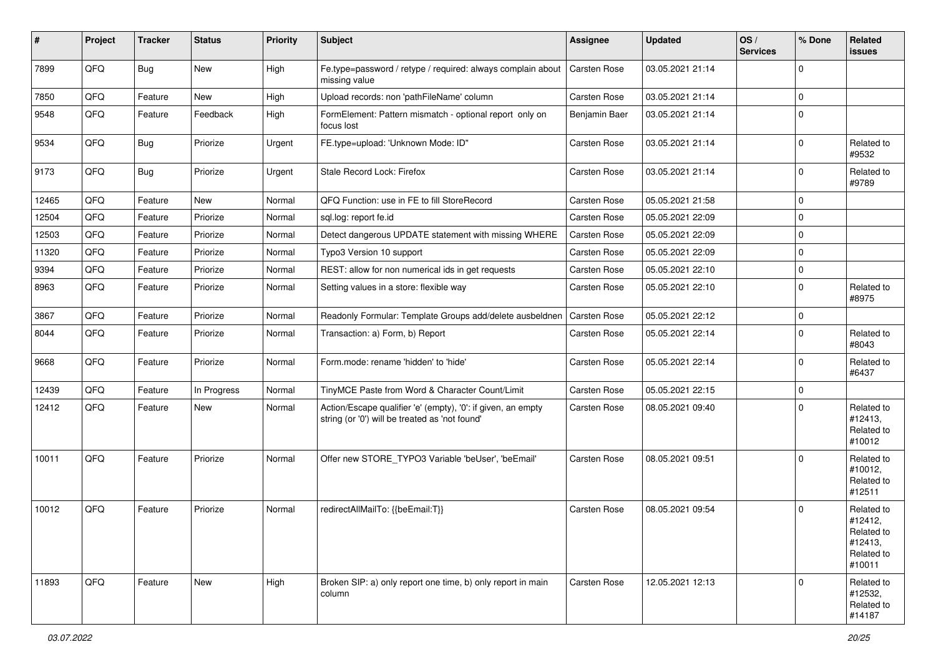| #     | Project | <b>Tracker</b> | <b>Status</b> | <b>Priority</b> | <b>Subject</b>                                                                                                 | Assignee            | <b>Updated</b>   | OS/<br><b>Services</b> | % Done      | Related<br>issues                                                      |
|-------|---------|----------------|---------------|-----------------|----------------------------------------------------------------------------------------------------------------|---------------------|------------------|------------------------|-------------|------------------------------------------------------------------------|
| 7899  | QFQ     | Bug            | <b>New</b>    | High            | Fe.type=password / retype / required: always complain about<br>missing value                                   | Carsten Rose        | 03.05.2021 21:14 |                        | $\Omega$    |                                                                        |
| 7850  | QFQ     | Feature        | New           | High            | Upload records: non 'pathFileName' column                                                                      | Carsten Rose        | 03.05.2021 21:14 |                        | $\Omega$    |                                                                        |
| 9548  | QFQ     | Feature        | Feedback      | High            | FormElement: Pattern mismatch - optional report only on<br>focus lost                                          | Benjamin Baer       | 03.05.2021 21:14 |                        | $\Omega$    |                                                                        |
| 9534  | QFQ     | Bug            | Priorize      | Urgent          | FE.type=upload: 'Unknown Mode: ID"                                                                             | Carsten Rose        | 03.05.2021 21:14 |                        | $\Omega$    | Related to<br>#9532                                                    |
| 9173  | QFQ     | <b>Bug</b>     | Priorize      | Urgent          | Stale Record Lock: Firefox                                                                                     | Carsten Rose        | 03.05.2021 21:14 |                        | $\Omega$    | Related to<br>#9789                                                    |
| 12465 | QFQ     | Feature        | New           | Normal          | QFQ Function: use in FE to fill StoreRecord                                                                    | Carsten Rose        | 05.05.2021 21:58 |                        | $\Omega$    |                                                                        |
| 12504 | QFQ     | Feature        | Priorize      | Normal          | sql.log: report fe.id                                                                                          | Carsten Rose        | 05.05.2021 22:09 |                        | $\Omega$    |                                                                        |
| 12503 | QFQ     | Feature        | Priorize      | Normal          | Detect dangerous UPDATE statement with missing WHERE                                                           | Carsten Rose        | 05.05.2021 22:09 |                        | 0           |                                                                        |
| 11320 | QFQ     | Feature        | Priorize      | Normal          | Typo3 Version 10 support                                                                                       | Carsten Rose        | 05.05.2021 22:09 |                        | $\Omega$    |                                                                        |
| 9394  | QFQ     | Feature        | Priorize      | Normal          | REST: allow for non numerical ids in get requests                                                              | Carsten Rose        | 05.05.2021 22:10 |                        | $\mathbf 0$ |                                                                        |
| 8963  | QFQ     | Feature        | Priorize      | Normal          | Setting values in a store: flexible way                                                                        | Carsten Rose        | 05.05.2021 22:10 |                        | $\Omega$    | Related to<br>#8975                                                    |
| 3867  | QFQ     | Feature        | Priorize      | Normal          | Readonly Formular: Template Groups add/delete ausbeldnen                                                       | <b>Carsten Rose</b> | 05.05.2021 22:12 |                        | $\Omega$    |                                                                        |
| 8044  | QFQ     | Feature        | Priorize      | Normal          | Transaction: a) Form, b) Report                                                                                | Carsten Rose        | 05.05.2021 22:14 |                        | $\Omega$    | Related to<br>#8043                                                    |
| 9668  | QFQ     | Feature        | Priorize      | Normal          | Form.mode: rename 'hidden' to 'hide'                                                                           | Carsten Rose        | 05.05.2021 22:14 |                        | $\Omega$    | Related to<br>#6437                                                    |
| 12439 | QFQ     | Feature        | In Progress   | Normal          | TinyMCE Paste from Word & Character Count/Limit                                                                | Carsten Rose        | 05.05.2021 22:15 |                        | $\mathbf 0$ |                                                                        |
| 12412 | QFQ     | Feature        | <b>New</b>    | Normal          | Action/Escape qualifier 'e' (empty), '0': if given, an empty<br>string (or '0') will be treated as 'not found' | Carsten Rose        | 08.05.2021 09:40 |                        | $\Omega$    | Related to<br>#12413,<br>Related to<br>#10012                          |
| 10011 | QFQ     | Feature        | Priorize      | Normal          | Offer new STORE_TYPO3 Variable 'beUser', 'beEmail'                                                             | Carsten Rose        | 08.05.2021 09:51 |                        | 0           | Related to<br>#10012,<br>Related to<br>#12511                          |
| 10012 | QFQ     | Feature        | Priorize      | Normal          | redirectAllMailTo: {{beEmail:T}}                                                                               | Carsten Rose        | 08.05.2021 09:54 |                        | $\Omega$    | Related to<br>#12412,<br>Related to<br>#12413,<br>Related to<br>#10011 |
| 11893 | QFQ     | Feature        | New           | High            | Broken SIP: a) only report one time, b) only report in main<br>column                                          | Carsten Rose        | 12.05.2021 12:13 |                        | $\Omega$    | Related to<br>#12532,<br>Related to<br>#14187                          |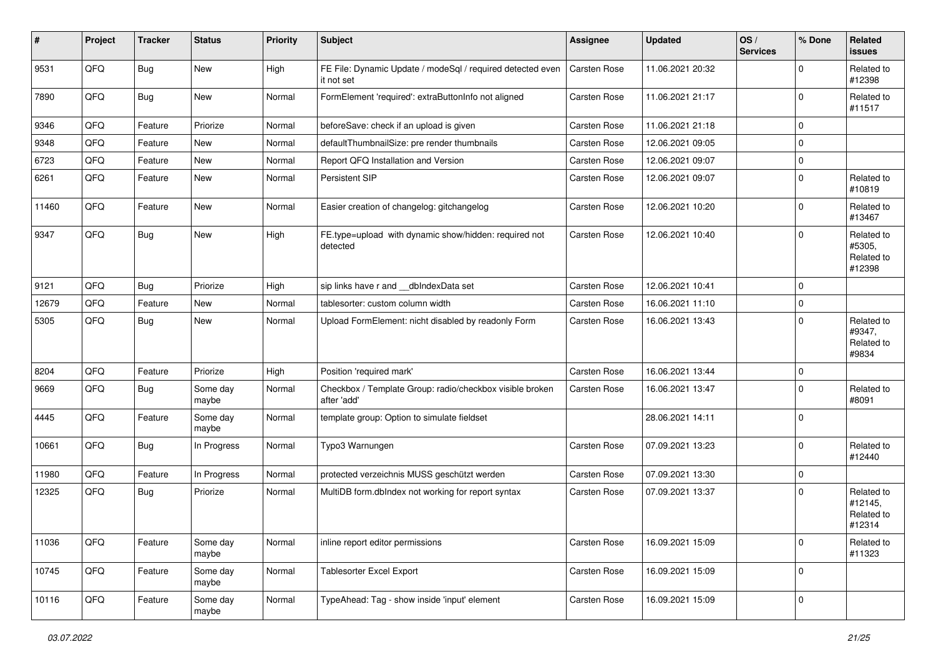| #     | Project | <b>Tracker</b> | <b>Status</b>     | <b>Priority</b> | <b>Subject</b>                                                           | Assignee     | <b>Updated</b>   | OS/<br><b>Services</b> | % Done      | Related<br>issues                             |
|-------|---------|----------------|-------------------|-----------------|--------------------------------------------------------------------------|--------------|------------------|------------------------|-------------|-----------------------------------------------|
| 9531  | QFQ     | <b>Bug</b>     | <b>New</b>        | High            | FE File: Dynamic Update / modeSql / required detected even<br>it not set | Carsten Rose | 11.06.2021 20:32 |                        | 0           | Related to<br>#12398                          |
| 7890  | QFQ     | Bug            | New               | Normal          | FormElement 'required': extraButtonInfo not aligned                      | Carsten Rose | 11.06.2021 21:17 |                        | $\Omega$    | Related to<br>#11517                          |
| 9346  | QFQ     | Feature        | Priorize          | Normal          | beforeSave: check if an upload is given                                  | Carsten Rose | 11.06.2021 21:18 |                        | $\mathbf 0$ |                                               |
| 9348  | QFQ     | Feature        | New               | Normal          | defaultThumbnailSize: pre render thumbnails                              | Carsten Rose | 12.06.2021 09:05 |                        | $\mathbf 0$ |                                               |
| 6723  | QFQ     | Feature        | New               | Normal          | Report QFQ Installation and Version                                      | Carsten Rose | 12.06.2021 09:07 |                        | $\mathbf 0$ |                                               |
| 6261  | QFQ     | Feature        | New               | Normal          | Persistent SIP                                                           | Carsten Rose | 12.06.2021 09:07 |                        | $\mathbf 0$ | Related to<br>#10819                          |
| 11460 | QFQ     | Feature        | New               | Normal          | Easier creation of changelog: gitchangelog                               | Carsten Rose | 12.06.2021 10:20 |                        | $\mathbf 0$ | Related to<br>#13467                          |
| 9347  | QFQ     | Bug            | <b>New</b>        | High            | FE.type=upload with dynamic show/hidden: required not<br>detected        | Carsten Rose | 12.06.2021 10:40 |                        | $\mathbf 0$ | Related to<br>#5305,<br>Related to<br>#12398  |
| 9121  | QFQ     | Bug            | Priorize          | High            | sip links have r and __dbIndexData set                                   | Carsten Rose | 12.06.2021 10:41 |                        | $\mathbf 0$ |                                               |
| 12679 | QFQ     | Feature        | New               | Normal          | tablesorter: custom column width                                         | Carsten Rose | 16.06.2021 11:10 |                        | $\mathbf 0$ |                                               |
| 5305  | QFQ     | Bug            | <b>New</b>        | Normal          | Upload FormElement: nicht disabled by readonly Form                      | Carsten Rose | 16.06.2021 13:43 |                        | $\Omega$    | Related to<br>#9347,<br>Related to<br>#9834   |
| 8204  | QFQ     | Feature        | Priorize          | High            | Position 'required mark'                                                 | Carsten Rose | 16.06.2021 13:44 |                        | $\mathbf 0$ |                                               |
| 9669  | QFQ     | Bug            | Some day<br>maybe | Normal          | Checkbox / Template Group: radio/checkbox visible broken<br>after 'add'  | Carsten Rose | 16.06.2021 13:47 |                        | $\mathbf 0$ | Related to<br>#8091                           |
| 4445  | QFQ     | Feature        | Some day<br>maybe | Normal          | template group: Option to simulate fieldset                              |              | 28.06.2021 14:11 |                        | $\mathbf 0$ |                                               |
| 10661 | QFQ     | Bug            | In Progress       | Normal          | Typo3 Warnungen                                                          | Carsten Rose | 07.09.2021 13:23 |                        | $\mathbf 0$ | Related to<br>#12440                          |
| 11980 | QFQ     | Feature        | In Progress       | Normal          | protected verzeichnis MUSS geschützt werden                              | Carsten Rose | 07.09.2021 13:30 |                        | $\mathbf 0$ |                                               |
| 12325 | QFQ     | <b>Bug</b>     | Priorize          | Normal          | MultiDB form.dblndex not working for report syntax                       | Carsten Rose | 07.09.2021 13:37 |                        | $\Omega$    | Related to<br>#12145,<br>Related to<br>#12314 |
| 11036 | QFQ     | Feature        | Some day<br>maybe | Normal          | inline report editor permissions                                         | Carsten Rose | 16.09.2021 15:09 |                        | 0           | Related to<br>#11323                          |
| 10745 | QFQ     | Feature        | Some day<br>maybe | Normal          | Tablesorter Excel Export                                                 | Carsten Rose | 16.09.2021 15:09 |                        | $\mathbf 0$ |                                               |
| 10116 | QFQ     | Feature        | Some day<br>maybe | Normal          | TypeAhead: Tag - show inside 'input' element                             | Carsten Rose | 16.09.2021 15:09 |                        | $\mathbf 0$ |                                               |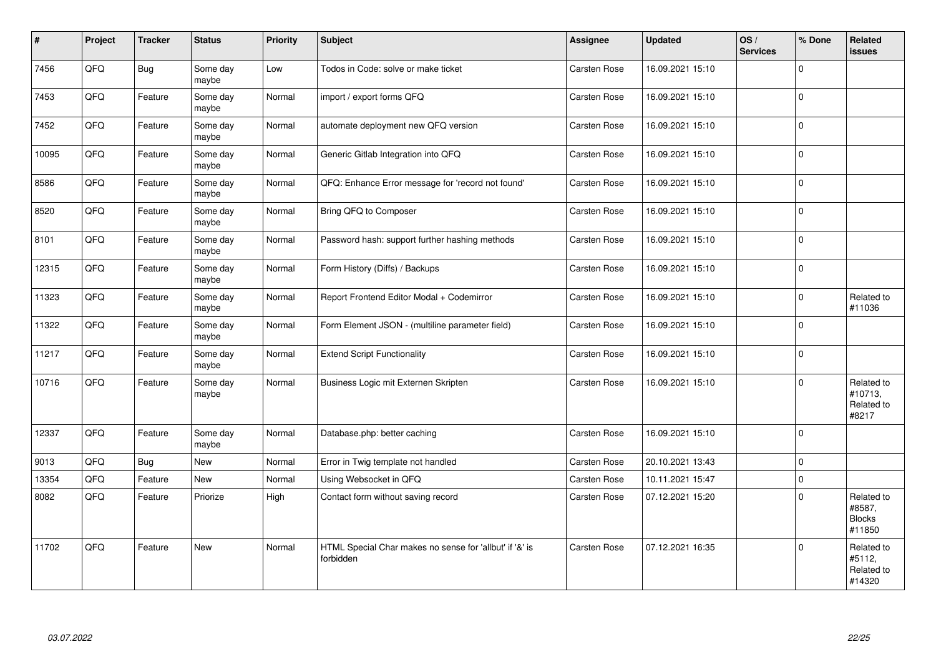| #     | Project | <b>Tracker</b> | <b>Status</b>     | <b>Priority</b> | <b>Subject</b>                                                       | <b>Assignee</b>     | <b>Updated</b>   | OS/<br><b>Services</b> | % Done   | Related<br><b>issues</b>                        |
|-------|---------|----------------|-------------------|-----------------|----------------------------------------------------------------------|---------------------|------------------|------------------------|----------|-------------------------------------------------|
| 7456  | QFQ     | <b>Bug</b>     | Some day<br>maybe | Low             | Todos in Code: solve or make ticket                                  | Carsten Rose        | 16.09.2021 15:10 |                        | $\Omega$ |                                                 |
| 7453  | QFQ     | Feature        | Some day<br>maybe | Normal          | import / export forms QFQ                                            | Carsten Rose        | 16.09.2021 15:10 |                        | l O      |                                                 |
| 7452  | QFQ     | Feature        | Some day<br>maybe | Normal          | automate deployment new QFQ version                                  | Carsten Rose        | 16.09.2021 15:10 |                        | $\Omega$ |                                                 |
| 10095 | QFQ     | Feature        | Some day<br>maybe | Normal          | Generic Gitlab Integration into QFQ                                  | Carsten Rose        | 16.09.2021 15:10 |                        | $\Omega$ |                                                 |
| 8586  | QFG     | Feature        | Some day<br>maybe | Normal          | QFQ: Enhance Error message for 'record not found'                    | Carsten Rose        | 16.09.2021 15:10 |                        | l 0      |                                                 |
| 8520  | QFQ     | Feature        | Some day<br>maybe | Normal          | Bring QFQ to Composer                                                | Carsten Rose        | 16.09.2021 15:10 |                        | $\Omega$ |                                                 |
| 8101  | QFQ     | Feature        | Some day<br>maybe | Normal          | Password hash: support further hashing methods                       | Carsten Rose        | 16.09.2021 15:10 |                        | $\Omega$ |                                                 |
| 12315 | QFQ     | Feature        | Some day<br>maybe | Normal          | Form History (Diffs) / Backups                                       | Carsten Rose        | 16.09.2021 15:10 |                        | 0 I      |                                                 |
| 11323 | QFQ     | Feature        | Some day<br>maybe | Normal          | Report Frontend Editor Modal + Codemirror                            | Carsten Rose        | 16.09.2021 15:10 |                        | $\Omega$ | Related to<br>#11036                            |
| 11322 | QFQ     | Feature        | Some day<br>maybe | Normal          | Form Element JSON - (multiline parameter field)                      | <b>Carsten Rose</b> | 16.09.2021 15:10 |                        | $\Omega$ |                                                 |
| 11217 | QFQ     | Feature        | Some day<br>maybe | Normal          | <b>Extend Script Functionality</b>                                   | <b>Carsten Rose</b> | 16.09.2021 15:10 |                        | $\Omega$ |                                                 |
| 10716 | QFQ     | Feature        | Some day<br>maybe | Normal          | Business Logic mit Externen Skripten                                 | Carsten Rose        | 16.09.2021 15:10 |                        | $\Omega$ | Related to<br>#10713,<br>Related to<br>#8217    |
| 12337 | QFQ     | Feature        | Some day<br>maybe | Normal          | Database.php: better caching                                         | Carsten Rose        | 16.09.2021 15:10 |                        | 0 I      |                                                 |
| 9013  | QFQ     | Bug            | New               | Normal          | Error in Twig template not handled                                   | Carsten Rose        | 20.10.2021 13:43 |                        | 0        |                                                 |
| 13354 | QFQ     | Feature        | New               | Normal          | Using Websocket in QFQ                                               | <b>Carsten Rose</b> | 10.11.2021 15:47 |                        | $\Omega$ |                                                 |
| 8082  | QFQ     | Feature        | Priorize          | High            | Contact form without saving record                                   | Carsten Rose        | 07.12.2021 15:20 |                        | $\Omega$ | Related to<br>#8587,<br><b>Blocks</b><br>#11850 |
| 11702 | QFQ     | Feature        | New               | Normal          | HTML Special Char makes no sense for 'allbut' if '&' is<br>forbidden | Carsten Rose        | 07.12.2021 16:35 |                        | $\Omega$ | Related to<br>#5112,<br>Related to<br>#14320    |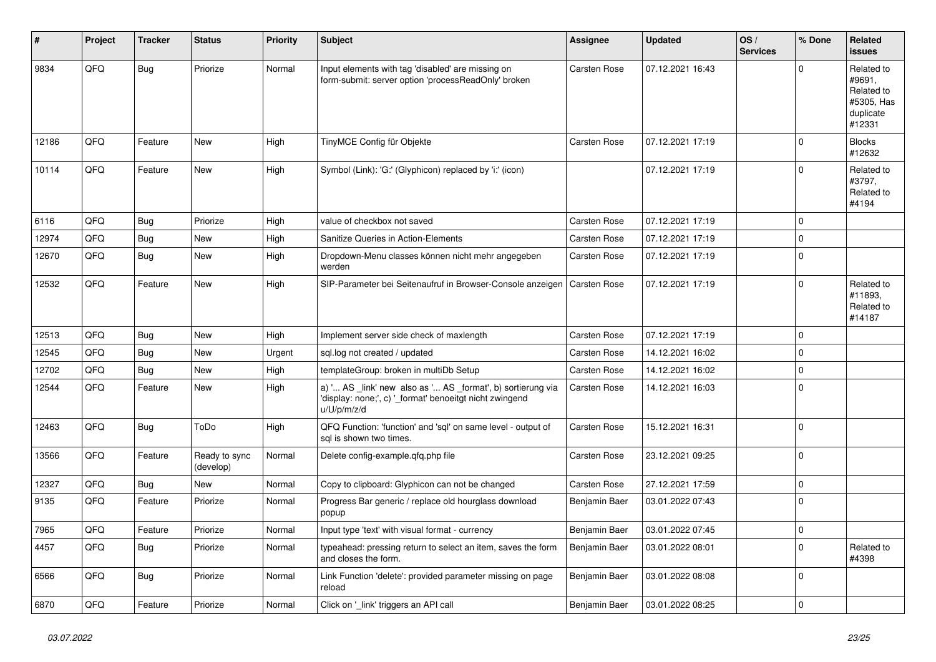| #     | Project | <b>Tracker</b> | <b>Status</b>              | <b>Priority</b> | <b>Subject</b>                                                                                                                        | <b>Assignee</b>     | <b>Updated</b>   | OS/<br><b>Services</b> | % Done      | Related<br>issues                                                       |
|-------|---------|----------------|----------------------------|-----------------|---------------------------------------------------------------------------------------------------------------------------------------|---------------------|------------------|------------------------|-------------|-------------------------------------------------------------------------|
| 9834  | QFQ     | Bug            | Priorize                   | Normal          | Input elements with tag 'disabled' are missing on<br>form-submit: server option 'processReadOnly' broken                              | <b>Carsten Rose</b> | 07.12.2021 16:43 |                        | $\Omega$    | Related to<br>#9691,<br>Related to<br>#5305, Has<br>duplicate<br>#12331 |
| 12186 | QFQ     | Feature        | New                        | High            | TinyMCE Config für Objekte                                                                                                            | Carsten Rose        | 07.12.2021 17:19 |                        | $\mathbf 0$ | <b>Blocks</b><br>#12632                                                 |
| 10114 | QFQ     | Feature        | New                        | High            | Symbol (Link): 'G:' (Glyphicon) replaced by 'i:' (icon)                                                                               |                     | 07.12.2021 17:19 |                        | $\mathbf 0$ | Related to<br>#3797,<br>Related to<br>#4194                             |
| 6116  | QFQ     | Bug            | Priorize                   | High            | value of checkbox not saved                                                                                                           | <b>Carsten Rose</b> | 07.12.2021 17:19 |                        | $\mathbf 0$ |                                                                         |
| 12974 | QFQ     | Bug            | New                        | High            | Sanitize Queries in Action-Elements                                                                                                   | Carsten Rose        | 07.12.2021 17:19 |                        | $\mathbf 0$ |                                                                         |
| 12670 | QFQ     | Bug            | New                        | High            | Dropdown-Menu classes können nicht mehr angegeben<br>werden                                                                           | Carsten Rose        | 07.12.2021 17:19 |                        | $\Omega$    |                                                                         |
| 12532 | QFQ     | Feature        | New                        | High            | SIP-Parameter bei Seitenaufruf in Browser-Console anzeigen                                                                            | <b>Carsten Rose</b> | 07.12.2021 17:19 |                        | $\Omega$    | Related to<br>#11893,<br>Related to<br>#14187                           |
| 12513 | QFQ     | Bug            | New                        | High            | Implement server side check of maxlength                                                                                              | <b>Carsten Rose</b> | 07.12.2021 17:19 |                        | $\mathbf 0$ |                                                                         |
| 12545 | QFQ     | <b>Bug</b>     | New                        | Urgent          | sql.log not created / updated                                                                                                         | <b>Carsten Rose</b> | 14.12.2021 16:02 |                        | $\Omega$    |                                                                         |
| 12702 | QFQ     | <b>Bug</b>     | New                        | High            | templateGroup: broken in multiDb Setup                                                                                                | <b>Carsten Rose</b> | 14.12.2021 16:02 |                        | $\mathbf 0$ |                                                                         |
| 12544 | QFQ     | Feature        | New                        | High            | a) ' AS _link' new also as ' AS _format', b) sortierung via<br>'display: none;', c) '_format' benoeitgt nicht zwingend<br>u/U/p/m/z/d | Carsten Rose        | 14.12.2021 16:03 |                        | $\mathbf 0$ |                                                                         |
| 12463 | QFQ     | <b>Bug</b>     | ToDo                       | High            | QFQ Function: 'function' and 'sql' on same level - output of<br>sql is shown two times.                                               | <b>Carsten Rose</b> | 15.12.2021 16:31 |                        | $\mathbf 0$ |                                                                         |
| 13566 | QFQ     | Feature        | Ready to sync<br>(develop) | Normal          | Delete config-example.qfq.php file                                                                                                    | Carsten Rose        | 23.12.2021 09:25 |                        | 0           |                                                                         |
| 12327 | QFQ     | Bug            | New                        | Normal          | Copy to clipboard: Glyphicon can not be changed                                                                                       | <b>Carsten Rose</b> | 27.12.2021 17:59 |                        | $\mathbf 0$ |                                                                         |
| 9135  | QFQ     | Feature        | Priorize                   | Normal          | Progress Bar generic / replace old hourglass download<br>popup                                                                        | Benjamin Baer       | 03.01.2022 07:43 |                        | $\Omega$    |                                                                         |
| 7965  | QFG     | Feature        | Priorize                   | Normal          | Input type 'text' with visual format - currency                                                                                       | Benjamin Baer       | 03.01.2022 07:45 |                        | 0           |                                                                         |
| 4457  | QFQ     | <b>Bug</b>     | Priorize                   | Normal          | typeahead: pressing return to select an item, saves the form<br>and closes the form.                                                  | Benjamin Baer       | 03.01.2022 08:01 |                        | $\mathbf 0$ | Related to<br>#4398                                                     |
| 6566  | QFQ     | <b>Bug</b>     | Priorize                   | Normal          | Link Function 'delete': provided parameter missing on page<br>reload                                                                  | Benjamin Baer       | 03.01.2022 08:08 |                        | 0           |                                                                         |
| 6870  | QFG     | Feature        | Priorize                   | Normal          | Click on '_link' triggers an API call                                                                                                 | Benjamin Baer       | 03.01.2022 08:25 |                        | 0           |                                                                         |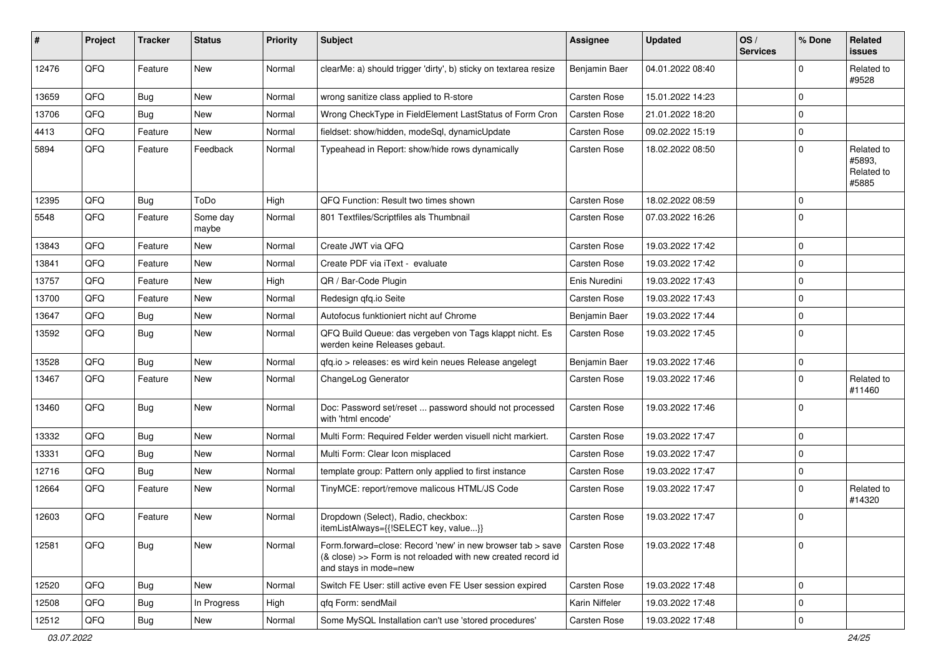| #     | Project | <b>Tracker</b> | <b>Status</b>     | <b>Priority</b> | Subject                                                                                                                                             | Assignee            | <b>Updated</b>   | OS/<br><b>Services</b> | % Done      | Related<br>issues                           |
|-------|---------|----------------|-------------------|-----------------|-----------------------------------------------------------------------------------------------------------------------------------------------------|---------------------|------------------|------------------------|-------------|---------------------------------------------|
| 12476 | QFQ     | Feature        | <b>New</b>        | Normal          | clearMe: a) should trigger 'dirty', b) sticky on textarea resize                                                                                    | Benjamin Baer       | 04.01.2022 08:40 |                        | 0           | Related to<br>#9528                         |
| 13659 | QFQ     | <b>Bug</b>     | New               | Normal          | wrong sanitize class applied to R-store                                                                                                             | Carsten Rose        | 15.01.2022 14:23 |                        | $\mathbf 0$ |                                             |
| 13706 | QFQ     | <b>Bug</b>     | <b>New</b>        | Normal          | Wrong CheckType in FieldElement LastStatus of Form Cron                                                                                             | Carsten Rose        | 21.01.2022 18:20 |                        | $\mathbf 0$ |                                             |
| 4413  | QFQ     | Feature        | New               | Normal          | fieldset: show/hidden, modeSql, dynamicUpdate                                                                                                       | Carsten Rose        | 09.02.2022 15:19 |                        | $\mathbf 0$ |                                             |
| 5894  | QFQ     | Feature        | Feedback          | Normal          | Typeahead in Report: show/hide rows dynamically                                                                                                     | Carsten Rose        | 18.02.2022 08:50 |                        | $\Omega$    | Related to<br>#5893,<br>Related to<br>#5885 |
| 12395 | QFQ     | Bug            | ToDo              | High            | QFQ Function: Result two times shown                                                                                                                | Carsten Rose        | 18.02.2022 08:59 |                        | $\Omega$    |                                             |
| 5548  | QFQ     | Feature        | Some day<br>maybe | Normal          | 801 Textfiles/Scriptfiles als Thumbnail                                                                                                             | Carsten Rose        | 07.03.2022 16:26 |                        | $\Omega$    |                                             |
| 13843 | QFQ     | Feature        | New               | Normal          | Create JWT via QFQ                                                                                                                                  | Carsten Rose        | 19.03.2022 17:42 |                        | $\mathbf 0$ |                                             |
| 13841 | QFQ     | Feature        | New               | Normal          | Create PDF via iText - evaluate                                                                                                                     | Carsten Rose        | 19.03.2022 17:42 |                        | $\mathbf 0$ |                                             |
| 13757 | QFQ     | Feature        | <b>New</b>        | High            | QR / Bar-Code Plugin                                                                                                                                | Enis Nuredini       | 19.03.2022 17:43 |                        | $\Omega$    |                                             |
| 13700 | QFQ     | Feature        | New               | Normal          | Redesign gfg.io Seite                                                                                                                               | Carsten Rose        | 19.03.2022 17:43 |                        | $\mathbf 0$ |                                             |
| 13647 | QFQ     | Bug            | <b>New</b>        | Normal          | Autofocus funktioniert nicht auf Chrome                                                                                                             | Benjamin Baer       | 19.03.2022 17:44 |                        | $\mathbf 0$ |                                             |
| 13592 | QFQ     | Bug            | <b>New</b>        | Normal          | QFQ Build Queue: das vergeben von Tags klappt nicht. Es<br>werden keine Releases gebaut.                                                            | Carsten Rose        | 19.03.2022 17:45 |                        | $\Omega$    |                                             |
| 13528 | QFQ     | Bug            | <b>New</b>        | Normal          | qfq.io > releases: es wird kein neues Release angelegt                                                                                              | Benjamin Baer       | 19.03.2022 17:46 |                        | $\mathbf 0$ |                                             |
| 13467 | QFQ     | Feature        | <b>New</b>        | Normal          | ChangeLog Generator                                                                                                                                 | Carsten Rose        | 19.03.2022 17:46 |                        | $\Omega$    | Related to<br>#11460                        |
| 13460 | QFQ     | Bug            | New               | Normal          | Doc: Password set/reset  password should not processed<br>with 'html encode'                                                                        | Carsten Rose        | 19.03.2022 17:46 |                        | $\Omega$    |                                             |
| 13332 | QFQ     | Bug            | <b>New</b>        | Normal          | Multi Form: Required Felder werden visuell nicht markiert.                                                                                          | Carsten Rose        | 19.03.2022 17:47 |                        | $\mathbf 0$ |                                             |
| 13331 | QFQ     | <b>Bug</b>     | <b>New</b>        | Normal          | Multi Form: Clear Icon misplaced                                                                                                                    | Carsten Rose        | 19.03.2022 17:47 |                        | $\mathbf 0$ |                                             |
| 12716 | QFQ     | <b>Bug</b>     | <b>New</b>        | Normal          | template group: Pattern only applied to first instance                                                                                              | <b>Carsten Rose</b> | 19.03.2022 17:47 |                        | $\mathbf 0$ |                                             |
| 12664 | QFQ     | Feature        | New               | Normal          | TinyMCE: report/remove malicous HTML/JS Code                                                                                                        | Carsten Rose        | 19.03.2022 17:47 |                        | $\Omega$    | Related to<br>#14320                        |
| 12603 | QFQ     | Feature        | New               | Normal          | Dropdown (Select), Radio, checkbox:<br>itemListAlways={{!SELECT key, value}}                                                                        | Carsten Rose        | 19.03.2022 17:47 |                        | $\mathbf 0$ |                                             |
| 12581 | QFQ     | Bug            | New               | Normal          | Form.forward=close: Record 'new' in new browser tab > save<br>(& close) >> Form is not reloaded with new created record id<br>and stays in mode=new | Carsten Rose        | 19.03.2022 17:48 |                        | l O         |                                             |
| 12520 | QFQ     | <b>Bug</b>     | New               | Normal          | Switch FE User: still active even FE User session expired                                                                                           | Carsten Rose        | 19.03.2022 17:48 |                        | $\mathbf 0$ |                                             |
| 12508 | QFQ     | <b>Bug</b>     | In Progress       | High            | qfq Form: sendMail                                                                                                                                  | Karin Niffeler      | 19.03.2022 17:48 |                        | $\mathbf 0$ |                                             |
| 12512 | QFQ     | <b>Bug</b>     | New               | Normal          | Some MySQL Installation can't use 'stored procedures'                                                                                               | Carsten Rose        | 19.03.2022 17:48 |                        | $\mathbf 0$ |                                             |